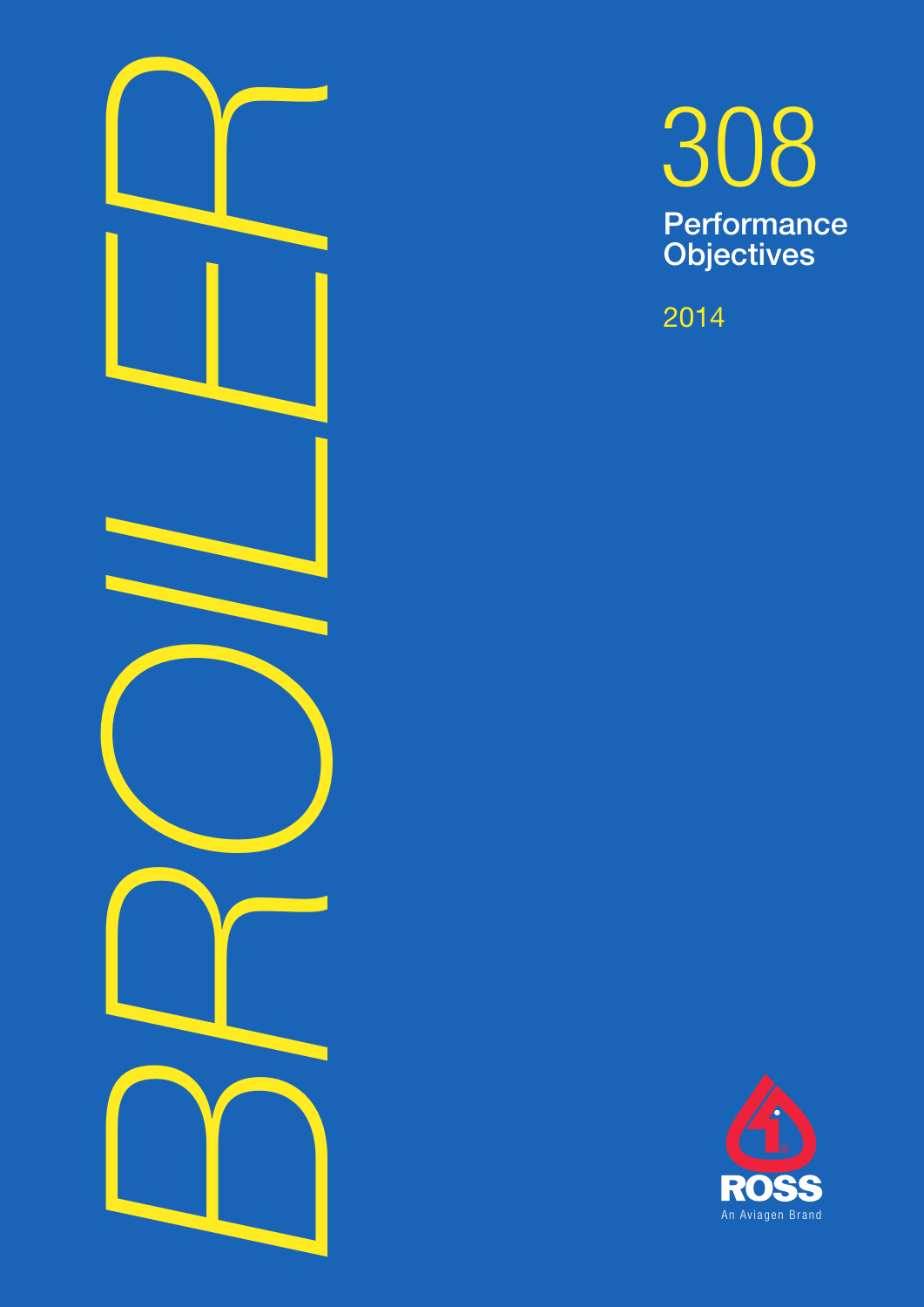



2014

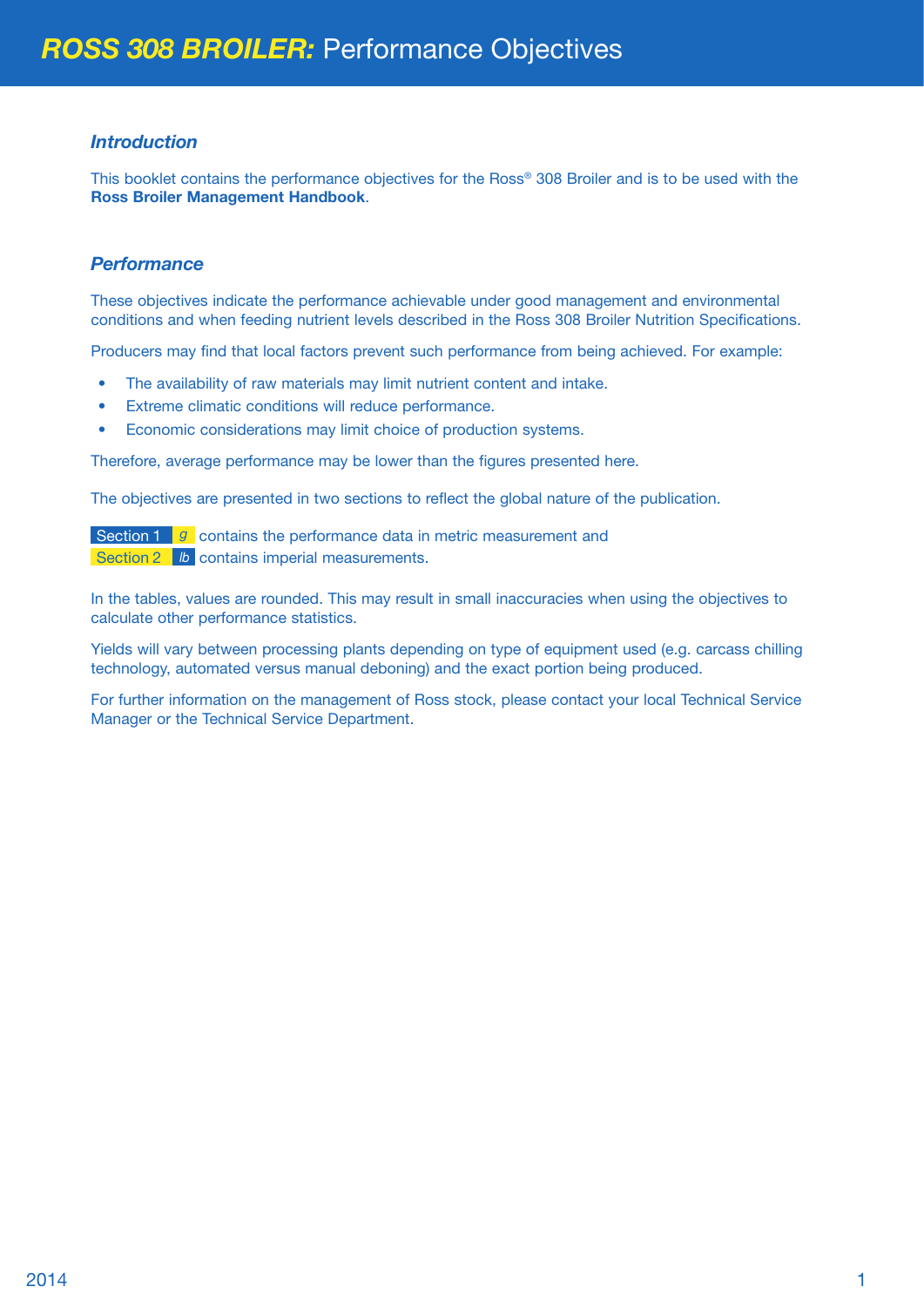#### *Introduction*

This booklet contains the performance objectives for the Ross® 308 Broiler and is to be used with the **Ross Broiler Management Handbook**.

### *Performance*

These objectives indicate the performance achievable under good management and environmental conditions and when feeding nutrient levels described in the Ross 308 Broiler Nutrition Specifications.

Producers may find that local factors prevent such performance from being achieved. For example:

- The availability of raw materials may limit nutrient content and intake.
- Extreme climatic conditions will reduce performance.
- Economic considerations may limit choice of production systems.

Therefore, average performance may be lower than the figures presented here.

The objectives are presented in two sections to reflect the global nature of the publication.

Section 1 **g** contains the performance data in metric measurement and Section 2 **b** contains imperial measurements.

In the tables, values are rounded. This may result in small inaccuracies when using the objectives to calculate other performance statistics.

Yields will vary between processing plants depending on type of equipment used (e.g. carcass chilling technology, automated versus manual deboning) and the exact portion being produced.

For further information on the management of Ross stock, please contact your local Technical Service Manager or the Technical Service Department.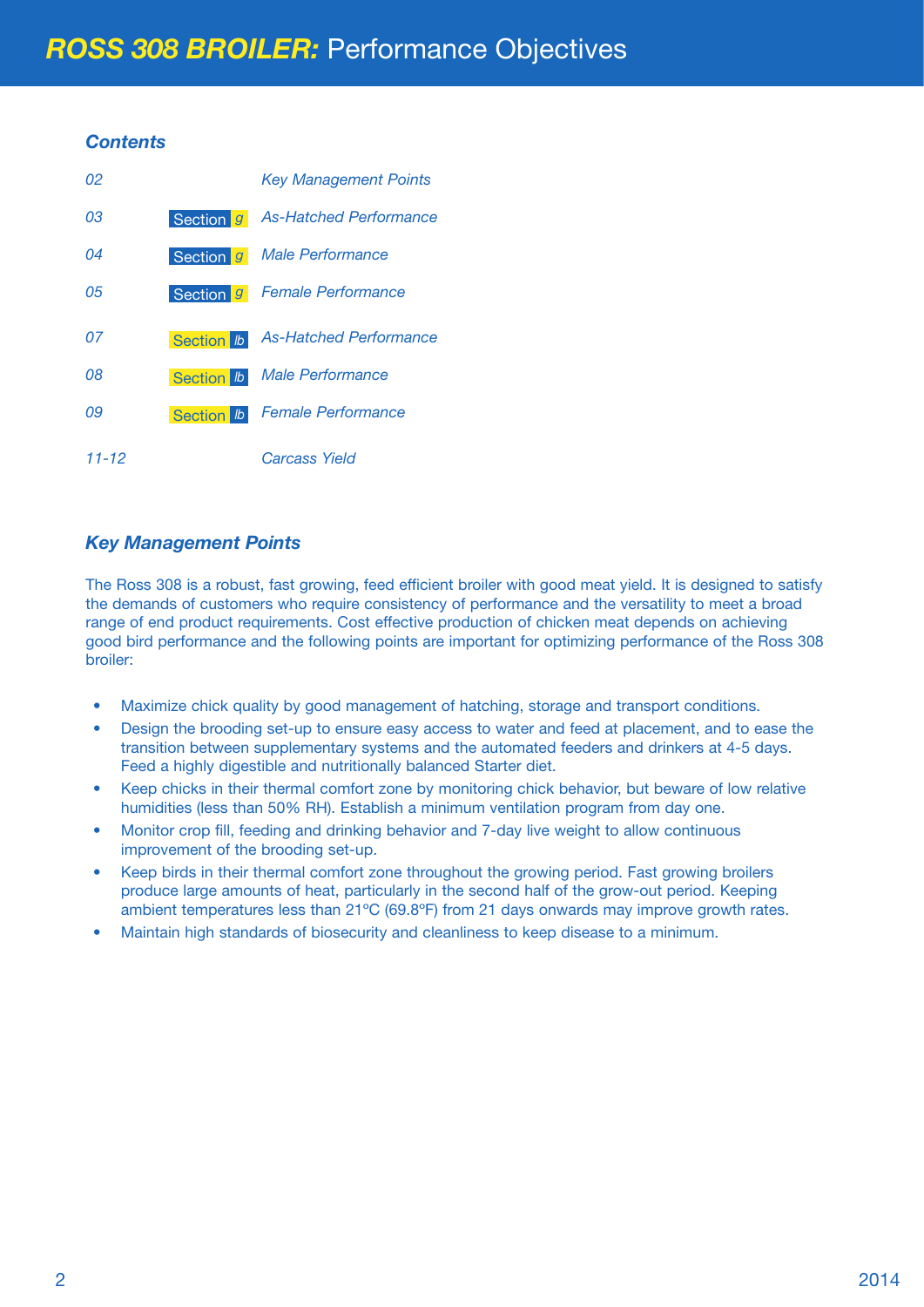### *Contents*

| 02    |                  | <b>Key Management Points</b>  |
|-------|------------------|-------------------------------|
| 03    | Section 9        | <b>As-Hatched Performance</b> |
| 04    | Section g        | Male Performance              |
| 05    | Section g        | <b>Female Performance</b>     |
| 07    | Section <b>b</b> | <b>As-Hatched Performance</b> |
| 08    | Section <b>b</b> | Male Performance              |
| 09    | Section <b>b</b> | <b>Female Performance</b>     |
| 11-12 |                  | Carcass Yield                 |

### *Key Management Points*

The Ross 308 is a robust, fast growing, feed efficient broiler with good meat yield. It is designed to satisfy the demands of customers who require consistency of performance and the versatility to meet a broad range of end product requirements. Cost effective production of chicken meat depends on achieving good bird performance and the following points are important for optimizing performance of the Ross 308 broiler:

- Maximize chick quality by good management of hatching, storage and transport conditions.
- Design the brooding set-up to ensure easy access to water and feed at placement, and to ease the transition between supplementary systems and the automated feeders and drinkers at 4-5 days. Feed a highly digestible and nutritionally balanced Starter diet.
- Keep chicks in their thermal comfort zone by monitoring chick behavior, but beware of low relative humidities (less than 50% RH). Establish a minimum ventilation program from day one.
- Monitor crop fill, feeding and drinking behavior and 7-day live weight to allow continuous improvement of the brooding set-up.
- Keep birds in their thermal comfort zone throughout the growing period. Fast growing broilers produce large amounts of heat, particularly in the second half of the grow-out period. Keeping ambient temperatures less than 21ºC (69.8ºF) from 21 days onwards may improve growth rates.
- Maintain high standards of biosecurity and cleanliness to keep disease to a minimum.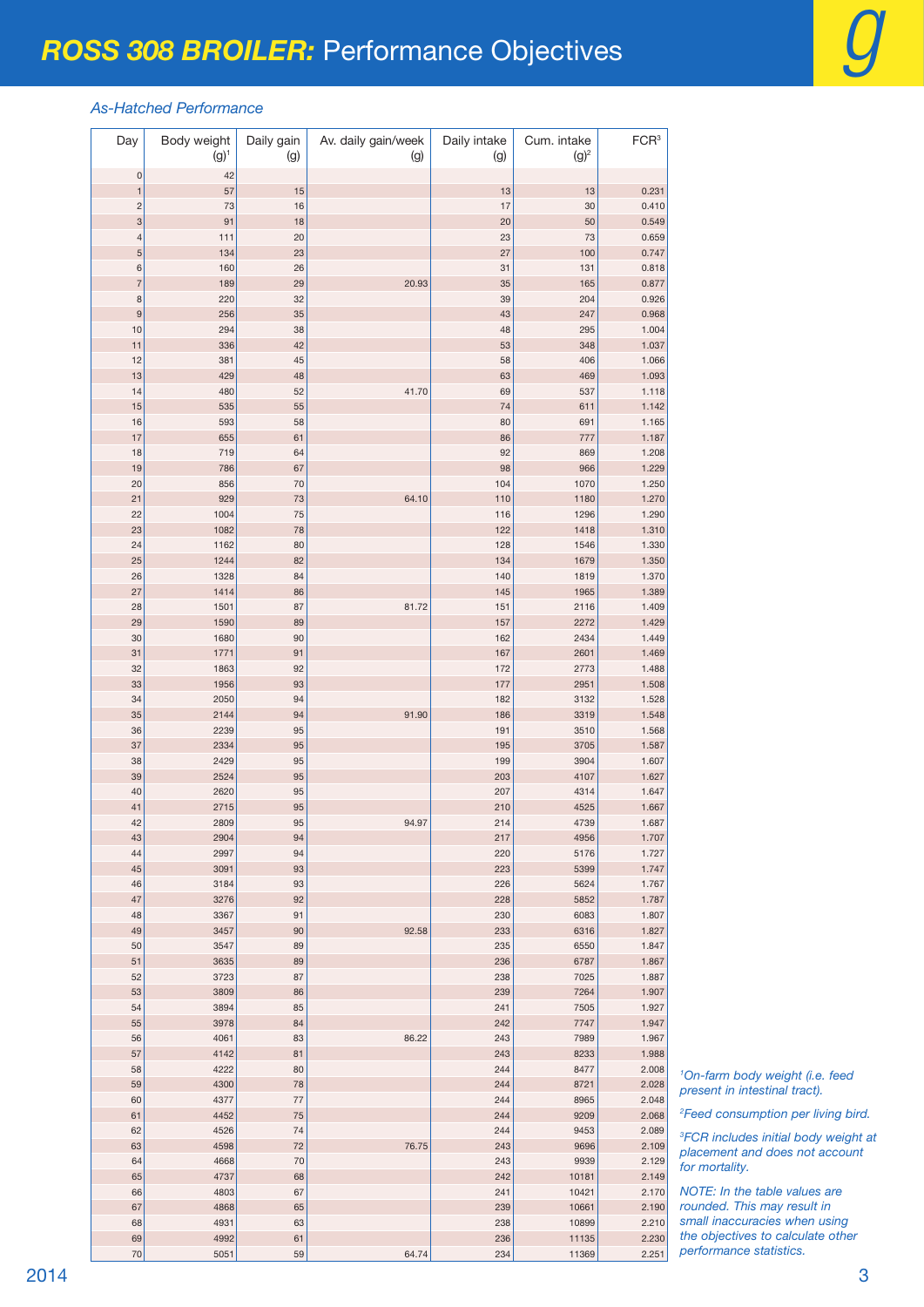#### *As-Hatched Performance*

| Day                           | Body weight<br>$(g)^{1}$ | Daily gain<br>(g) | Av. daily gain/week<br>(g) | Daily intake<br>(g) | Cum. intake<br>$(g)^2$ | FCR <sup>3</sup> |
|-------------------------------|--------------------------|-------------------|----------------------------|---------------------|------------------------|------------------|
| $\mathsf{O}\xspace$           | 42                       |                   |                            |                     |                        |                  |
| $\mathbf{1}$                  | 57                       | 15                |                            | 13                  | 13                     | 0.231            |
| $\overline{\mathbf{c}}$       | 73                       | 16                |                            | 17                  | 30                     | 0.410            |
| 3                             | 91                       | 18                |                            | 20                  | 50                     | 0.549<br>0.659   |
| $\overline{\mathcal{L}}$<br>5 | 111<br>134               | 20<br>23          |                            | 23<br>27            | 73<br>100              | 0.747            |
| 6                             | 160                      | 26                |                            | 31                  | 131                    | 0.818            |
| $\overline{7}$                | 189                      | 29                | 20.93                      | 35                  | 165                    | 0.877            |
| 8                             | 220                      | 32                |                            | 39                  | 204                    | 0.926            |
| 9                             | 256                      | 35                |                            | 43                  | 247                    | 0.968            |
| 10                            | 294                      | 38                |                            | 48                  | 295                    | 1.004            |
| 11                            | 336                      | 42                |                            | 53                  | 348                    | 1.037            |
| 12                            | 381                      | 45                |                            | 58                  | 406                    | 1.066            |
| 13<br>14                      | 429<br>480               | 48<br>52          | 41.70                      | 63<br>69            | 469<br>537             | 1.093<br>1.118   |
| 15                            | 535                      | 55                |                            | 74                  | 611                    | 1.142            |
| 16                            | 593                      | 58                |                            | 80                  | 691                    | 1.165            |
| 17                            | 655                      | 61                |                            | 86                  | 777                    | 1.187            |
| 18                            | 719                      | 64                |                            | 92                  | 869                    | 1.208            |
| 19                            | 786                      | 67                |                            | 98                  | 966                    | 1.229            |
| 20                            | 856                      | 70                |                            | 104                 | 1070                   | 1.250            |
| 21                            | 929                      | 73                | 64.10                      | 110                 | 1180                   | 1.270            |
| 22                            | 1004                     | 75                |                            | 116                 | 1296                   | 1.290            |
| 23                            | 1082                     | 78                |                            | 122                 | 1418                   | 1.310            |
| 24<br>25                      | 1162<br>1244             | 80<br>82          |                            | 128<br>134          | 1546<br>1679           | 1.330<br>1.350   |
| 26                            | 1328                     | 84                |                            | 140                 | 1819                   | 1.370            |
| 27                            | 1414                     | 86                |                            | 145                 | 1965                   | 1.389            |
| 28                            | 1501                     | 87                | 81.72                      | 151                 | 2116                   | 1.409            |
| 29                            | 1590                     | 89                |                            | 157                 | 2272                   | 1.429            |
| 30                            | 1680                     | 90                |                            | 162                 | 2434                   | 1.449            |
| 31                            | 1771                     | 91                |                            | 167                 | 2601                   | 1.469            |
| 32                            | 1863                     | 92                |                            | 172                 | 2773                   | 1.488            |
| 33                            | 1956                     | 93                |                            | 177                 | 2951                   | 1.508            |
| 34<br>35                      | 2050<br>2144             | 94<br>94          | 91.90                      | 182<br>186          | 3132<br>3319           | 1.528<br>1.548   |
| 36                            | 2239                     | 95                |                            | 191                 | 3510                   | 1.568            |
| 37                            | 2334                     | 95                |                            | 195                 | 3705                   | 1.587            |
| 38                            | 2429                     | 95                |                            | 199                 | 3904                   | 1.607            |
| 39                            | 2524                     | 95                |                            | 203                 | 4107                   | 1.627            |
| 40                            | 2620                     | 95                |                            | 207                 | 4314                   | 1.647            |
| 41                            | 2715                     | 95                |                            | 210                 | 4525                   | 1.667            |
| 42                            | 2809                     | 95                | 94.97                      | 214                 | 4739                   | 1.687            |
| 43<br>44                      | 2904<br>2997             | 94<br>94          |                            | 217<br>220          | 4956<br>5176           | 1.707<br>1.727   |
| 45                            | 3091                     | 93                |                            | 223                 | 5399                   | 1.747            |
| 46                            | 3184                     | 93                |                            | 226                 | 5624                   | 1.767            |
| 47                            | 3276                     | 92                |                            | 228                 | 5852                   | 1.787            |
| 48                            | 3367                     | 91                |                            | 230                 | 6083                   | 1.807            |
| 49                            | 3457                     | 90                | 92.58                      | 233                 | 6316                   | 1.827            |
| 50                            | 3547                     | 89                |                            | 235                 | 6550                   | 1.847            |
| 51                            | 3635                     | 89                |                            | 236                 | 6787                   | 1.867            |
| 52                            | 3723                     | 87                |                            | 238                 | 7025                   | 1.887            |
| 53<br>54                      | 3809<br>3894             | 86<br>85          |                            | 239<br>241          | 7264<br>7505           | 1.907<br>1.927   |
| 55                            | 3978                     | 84                |                            | 242                 | 7747                   | 1.947            |
| 56                            | 4061                     | 83                | 86.22                      | 243                 | 7989                   | 1.967            |
| 57                            | 4142                     | 81                |                            | 243                 | 8233                   | 1.988            |
| 58                            | 4222                     | 80                |                            | 244                 | 8477                   | 2.008            |
| 59                            | 4300                     | 78                |                            | 244                 | 8721                   | 2.028            |
| 60                            | 4377                     | 77                |                            | 244                 | 8965                   | 2.048            |
| 61                            | 4452                     | 75                |                            | 244                 | 9209                   | 2.068            |
| 62<br>63                      | 4526<br>4598             | 74<br>72          | 76.75                      | 244<br>243          | 9453<br>9696           | 2.089<br>2.109   |
| 64                            | 4668                     | 70                |                            | 243                 | 9939                   | 2.129            |
| 65                            | 4737                     | 68                |                            | 242                 | 10181                  | 2.149            |
| 66                            | 4803                     | 67                |                            | 241                 | 10421                  | 2.170            |
| 67                            | 4868                     | 65                |                            | 239                 | 10661                  | 2.190            |
| 68                            | 4931                     | 63                |                            | 238                 | 10899                  | 2.210            |
| 69                            | 4992                     | 61                |                            | 236                 | 11135                  | 2.230            |
| 70                            | 5051                     | 59                | 64.74                      | 234                 | 11369                  | 2.251            |

 *On-farm body weight (i.e. feed present in intestinal tract).*

*Feed consumption per living bird.*

 *FCR includes initial body weight at placement and does not account for mortality.*

*NOTE: In the table values are rounded. This may result in small inaccuracies when using the objectives to calculate other performance statistics.*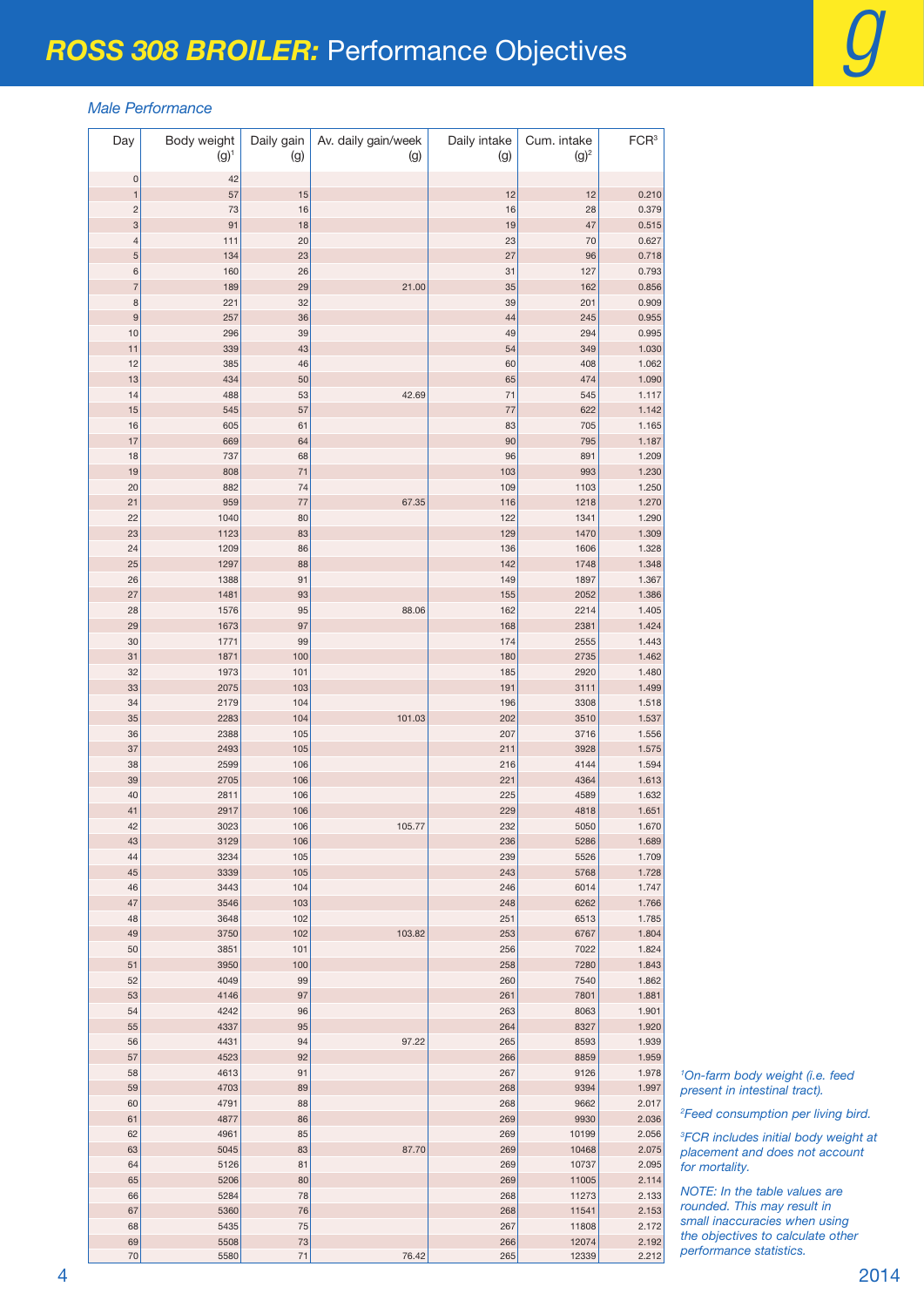#### *Male Performance*

| Day            | Body weight<br>$(g)^1$ | Daily gain<br>(g) | Av. daily gain/week<br>(g) | Daily intake<br>(g) | Cum. intake<br>$(g)^2$ | FCR <sup>3</sup> |
|----------------|------------------------|-------------------|----------------------------|---------------------|------------------------|------------------|
| $\mathsf 0$    | 42                     |                   |                            |                     |                        |                  |
| $\mathbf{1}$   | 57                     | 15                |                            | 12                  | 12                     | 0.210            |
| $\overline{c}$ | 73                     | 16                |                            | 16                  | 28                     | 0.379            |
| 3              | 91                     | 18                |                            | 19                  | 47                     | 0.515            |
| $\overline{a}$ | 111                    | 20                |                            | 23                  | 70                     | 0.627            |
| 5              | 134                    | 23                |                            | 27                  | 96                     | 0.718            |
| 6              | 160                    | 26                |                            | 31                  | 127                    | 0.793            |
| $\overline{7}$ | 189                    | 29                | 21.00                      | 35                  | 162                    | 0.856            |
| 8<br>9         | 221<br>257             | 32<br>36          |                            | 39<br>44            | 201<br>245             | 0.909<br>0.955   |
| 10             | 296                    | 39                |                            | 49                  | 294                    | 0.995            |
| 11             | 339                    | 43                |                            | 54                  | 349                    | 1.030            |
| 12             | 385                    | 46                |                            | 60                  | 408                    | 1.062            |
| 13             | 434                    | 50                |                            | 65                  | 474                    | 1.090            |
| 14             | 488                    | 53                | 42.69                      | 71                  | 545                    | 1.117            |
| 15             | 545                    | 57                |                            | 77                  | 622                    | 1.142            |
| 16             | 605                    | 61                |                            | 83                  | 705                    | 1.165            |
| 17             | 669                    | 64                |                            | 90                  | 795                    | 1.187            |
| 18             | 737                    | 68                |                            | 96                  | 891                    | 1.209            |
| 19             | 808                    | 71                |                            | 103                 | 993                    | 1.230            |
| 20             | 882                    | 74                |                            | 109                 | 1103                   | 1.250            |
| 21<br>22       | 959<br>1040            | 77<br>80          | 67.35                      | 116<br>122          | 1218<br>1341           | 1.270<br>1.290   |
| 23             | 1123                   | 83                |                            | 129                 | 1470                   | 1.309            |
| 24             | 1209                   | 86                |                            | 136                 | 1606                   | 1.328            |
| 25             | 1297                   | 88                |                            | 142                 | 1748                   | 1.348            |
| 26             | 1388                   | 91                |                            | 149                 | 1897                   | 1.367            |
| 27             | 1481                   | 93                |                            | 155                 | 2052                   | 1.386            |
| 28             | 1576                   | 95                | 88.06                      | 162                 | 2214                   | 1.405            |
| 29             | 1673                   | 97                |                            | 168                 | 2381                   | 1.424            |
| 30             | 1771                   | 99                |                            | 174                 | 2555                   | 1.443            |
| 31             | 1871                   | 100               |                            | 180                 | 2735                   | 1.462            |
| 32             | 1973                   | 101               |                            | 185                 | 2920                   | 1.480            |
| 33             | 2075                   | 103               |                            | 191                 | 3111                   | 1.499            |
| 34<br>35       | 2179<br>2283           | 104<br>104        | 101.03                     | 196<br>202          | 3308<br>3510           | 1.518<br>1.537   |
| 36             | 2388                   | 105               |                            | 207                 | 3716                   | 1.556            |
| 37             | 2493                   | 105               |                            | 211                 | 3928                   | 1.575            |
| 38             | 2599                   | 106               |                            | 216                 | 4144                   | 1.594            |
| 39             | 2705                   | 106               |                            | 221                 | 4364                   | 1.613            |
| 40             | 2811                   | 106               |                            | 225                 | 4589                   | 1.632            |
| 41             | 2917                   | 106               |                            | 229                 | 4818                   | 1.651            |
| 42             | 3023                   | 106               | 105.77                     | 232                 | 5050                   | 1.670            |
| 43             | 3129                   | 106               |                            | 236                 | 5286                   | 1.689            |
| 44             | 3234                   | 105               |                            | 239                 | 5526                   | 1.709            |
| 45             | 3339                   | 105               |                            | 243                 | 5768                   | 1.728            |
| 46             | 3443                   | 104               |                            | 246                 | 6014                   | 1.747            |
| 47<br>48       | 3546<br>3648           | 103<br>102        |                            | 248<br>251          | 6262<br>6513           | 1.766<br>1.785   |
| 49             | 3750                   | 102               | 103.82                     | 253                 | 6767                   | 1.804            |
| 50             | 3851                   | 101               |                            | 256                 | 7022                   | 1.824            |
| 51             | 3950                   | 100               |                            | 258                 | 7280                   | 1.843            |
| 52             | 4049                   | 99                |                            | 260                 | 7540                   | 1.862            |
| 53             | 4146                   | 97                |                            | 261                 | 7801                   | 1.881            |
| 54             | 4242                   | 96                |                            | 263                 | 8063                   | 1.901            |
| 55             | 4337                   | 95                |                            | 264                 | 8327                   | 1.920            |
| 56             | 4431                   | 94                | 97.22                      | 265                 | 8593                   | 1.939            |
| 57             | 4523                   | 92                |                            | 266                 | 8859                   | 1.959            |
| 58             | 4613                   | 91                |                            | 267                 | 9126                   | 1.978            |
| 59<br>60       | 4703<br>4791           | 89<br>88          |                            | 268<br>268          | 9394<br>9662           | 1.997<br>2.017   |
| 61             | 4877                   | 86                |                            | 269                 | 9930                   | 2.036            |
| 62             | 4961                   | 85                |                            | 269                 | 10199                  | 2.056            |
| 63             | 5045                   | 83                | 87.70                      | 269                 | 10468                  | 2.075            |
| 64             | 5126                   | 81                |                            | 269                 | 10737                  | 2.095            |
| 65             | 5206                   | 80                |                            | 269                 | 11005                  | 2.114            |
| 66             | 5284                   | 78                |                            | 268                 | 11273                  | 2.133            |
| 67             | 5360                   | 76                |                            | 268                 | 11541                  | 2.153            |
| 68             | 5435                   | 75                |                            | 267                 | 11808                  | 2.172            |
| 69             | 5508                   | $73\,$            |                            | 266                 | 12074                  | 2.192            |
| 70             | 5580                   | 71                | 76.42                      | 265                 | 12339                  | 2.212            |

 *On-farm body weight (i.e. feed present in intestinal tract).*

*Feed consumption per living bird.*

 *FCR includes initial body weight at placement and does not account for mortality.*

*NOTE: In the table values are rounded. This may result in small inaccuracies when using the objectives to calculate other performance statistics.*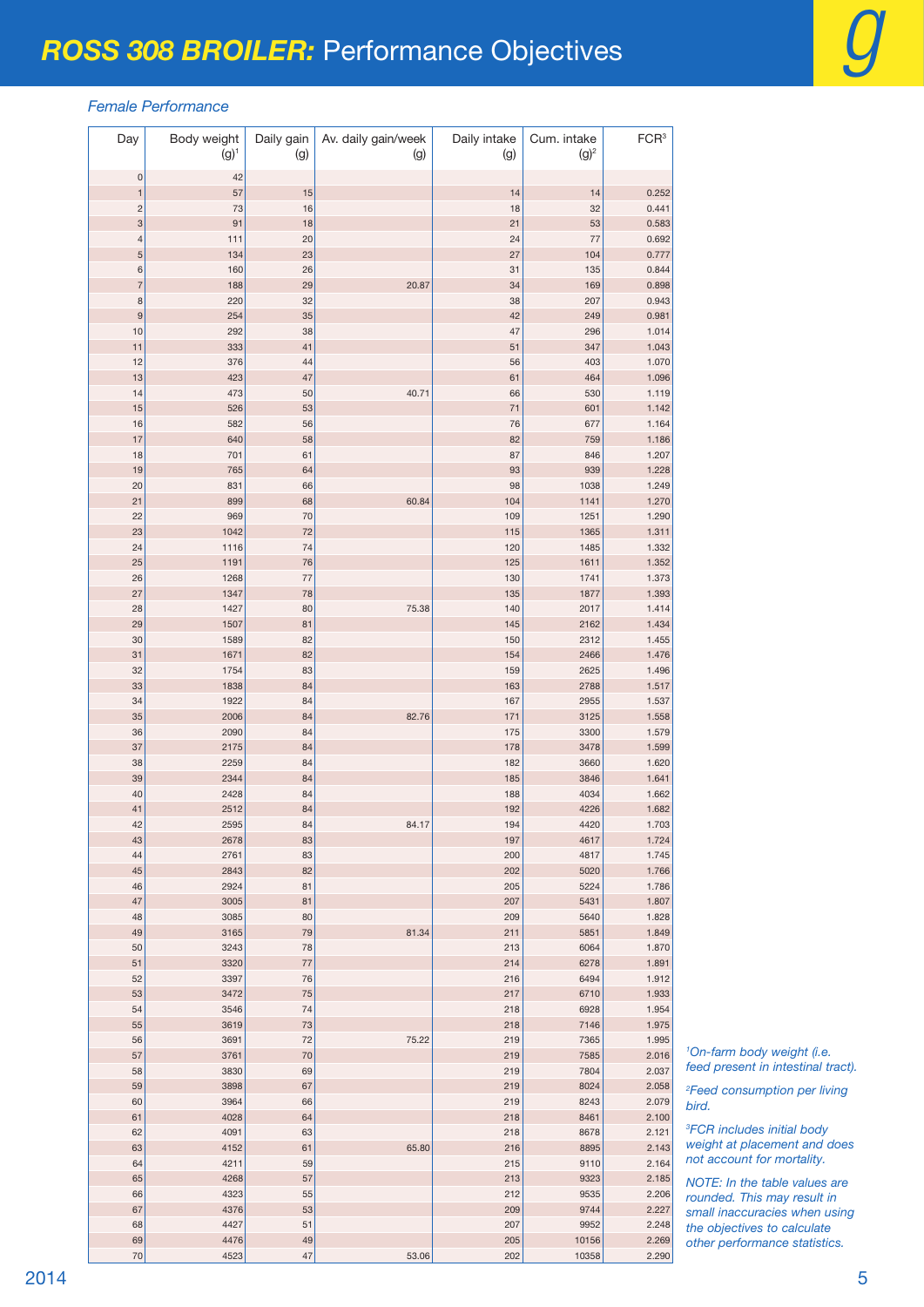#### *Female Performance*

| Day                 | Body weight<br>$(g)^1$ | Daily gain<br>(g) | Av. daily gain/week<br>(g) | Daily intake<br>(g) | Cum. intake<br>$(g)^2$ | FCR <sup>3</sup> |
|---------------------|------------------------|-------------------|----------------------------|---------------------|------------------------|------------------|
| $\mathbf 0$         | 42                     |                   |                            |                     |                        |                  |
| $\mathbf{1}$        | 57                     | 15                |                            | 14                  | 14                     | 0.252            |
| $\overline{c}$      | 73                     | 16                |                            | 18                  | 32                     | 0.441            |
| 3                   | 91                     | 18                |                            | 21                  | 53                     | 0.583            |
| $\overline{a}$<br>5 | 111<br>134             | 20<br>23          |                            | 24<br>27            | 77<br>104              | 0.692<br>0.777   |
| 6                   | 160                    | 26                |                            | 31                  | 135                    | 0.844            |
| $\overline{7}$      | 188                    | 29                | 20.87                      | 34                  | 169                    | 0.898            |
| 8                   | 220                    | 32                |                            | 38                  | 207                    | 0.943            |
| 9                   | 254                    | 35                |                            | 42                  | 249                    | 0.981            |
| 10                  | 292<br>333             | 38<br>41          |                            | 47                  | 296<br>347             | 1.014<br>1.043   |
| 11<br>12            | 376                    | 44                |                            | 51<br>56            | 403                    | 1.070            |
| 13                  | 423                    | 47                |                            | 61                  | 464                    | 1.096            |
| 14                  | 473                    | 50                | 40.71                      | 66                  | 530                    | 1.119            |
| 15                  | 526                    | 53                |                            | 71                  | 601                    | 1.142            |
| 16                  | 582                    | 56                |                            | 76                  | 677                    | 1.164            |
| 17<br>18            | 640<br>701             | 58<br>61          |                            | 82<br>87            | 759<br>846             | 1.186<br>1.207   |
| 19                  | 765                    | 64                |                            | 93                  | 939                    | 1.228            |
| 20                  | 831                    | 66                |                            | 98                  | 1038                   | 1.249            |
| 21                  | 899                    | 68                | 60.84                      | 104                 | 1141                   | 1.270            |
| 22                  | 969                    | 70                |                            | 109                 | 1251                   | 1.290            |
| 23<br>24            | 1042<br>1116           | 72<br>74          |                            | 115<br>120          | 1365<br>1485           | 1.311<br>1.332   |
| 25                  | 1191                   | 76                |                            | 125                 | 1611                   | 1.352            |
| 26                  | 1268                   | 77                |                            | 130                 | 1741                   | 1.373            |
| 27                  | 1347                   | 78                |                            | 135                 | 1877                   | 1.393            |
| 28                  | 1427                   | 80                | 75.38                      | 140                 | 2017                   | 1.414            |
| 29                  | 1507                   | 81                |                            | 145                 | 2162                   | 1.434            |
| 30<br>31            | 1589<br>1671           | 82<br>82          |                            | 150<br>154          | 2312<br>2466           | 1.455<br>1.476   |
| 32                  | 1754                   | 83                |                            | 159                 | 2625                   | 1.496            |
| 33                  | 1838                   | 84                |                            | 163                 | 2788                   | 1.517            |
| 34                  | 1922                   | 84                |                            | 167                 | 2955                   | 1.537            |
| 35                  | 2006                   | 84                | 82.76                      | 171                 | 3125                   | 1.558            |
| 36<br>37            | 2090<br>2175           | 84<br>84          |                            | 175<br>178          | 3300<br>3478           | 1.579<br>1.599   |
| 38                  | 2259                   | 84                |                            | 182                 | 3660                   | 1.620            |
| 39                  | 2344                   | 84                |                            | 185                 | 3846                   | 1.641            |
| 40                  | 2428                   | 84                |                            | 188                 | 4034                   | 1.662            |
| 41                  | 2512                   | 84                |                            | 192                 | 4226                   | 1.682            |
| 42<br>43            | 2595<br>2678           | 84<br>83          | 84.17                      | 194<br>197          | 4420<br>4617           | 1.703<br>1.724   |
| 44                  | 2761                   | 83                |                            | 200                 | 4817                   | 1.745            |
| 45                  | 2843                   | 82                |                            | 202                 | 5020                   | 1.766            |
| 46                  | 2924                   | 81                |                            | 205                 | 5224                   | 1.786            |
| 47                  | 3005                   | 81                |                            | 207                 | 5431                   | 1.807            |
| 48                  | 3085                   | 80                |                            | 209                 | 5640                   | 1.828            |
| 49<br>50            | 3165<br>3243           | 79<br>78          | 81.34                      | 211<br>213          | 5851<br>6064           | 1.849<br>1.870   |
| 51                  | 3320                   | 77                |                            | 214                 | 6278                   | 1.891            |
| 52                  | 3397                   | 76                |                            | 216                 | 6494                   | 1.912            |
| 53                  | 3472                   | 75                |                            | 217                 | 6710                   | 1.933            |
| 54                  | 3546                   | 74                |                            | 218                 | 6928                   | 1.954            |
| 55<br>56            | 3619<br>3691           | 73<br>72          | 75.22                      | 218<br>219          | 7146<br>7365           | 1.975<br>1.995   |
| 57                  | 3761                   | 70                |                            | 219                 | 7585                   | 2.016            |
| 58                  | 3830                   | 69                |                            | 219                 | 7804                   | 2.037            |
| 59                  | 3898                   | 67                |                            | 219                 | 8024                   | 2.058            |
| 60                  | 3964                   | 66                |                            | 219                 | 8243                   | 2.079            |
| 61<br>62            | 4028<br>4091           | 64<br>63          |                            | 218<br>218          | 8461<br>8678           | 2.100<br>2.121   |
| 63                  | 4152                   | 61                | 65.80                      | 216                 | 8895                   | 2.143            |
| 64                  | 4211                   | 59                |                            | 215                 | 9110                   | 2.164            |
| 65                  | 4268                   | 57                |                            | 213                 | 9323                   | 2.185            |
| 66                  | 4323                   | 55                |                            | 212                 | 9535                   | 2.206            |
| 67<br>68            | 4376<br>4427           | 53<br>51          |                            | 209<br>207          | 9744<br>9952           | 2.227<br>2.248   |
| 69                  | 4476                   | 49                |                            | 205                 | 10156                  | 2.269            |
| 70                  | 4523                   | 47                | 53.06                      | 202                 | 10358                  | 2.290            |

 *On-farm body weight (i.e. feed present in intestinal tract).*

 *Feed consumption per living bird.*

 *FCR includes initial body weight at placement and does not account for mortality.*

*NOTE: In the table values are rounded. This may result in small inaccuracies when using the objectives to calculate other performance statistics.*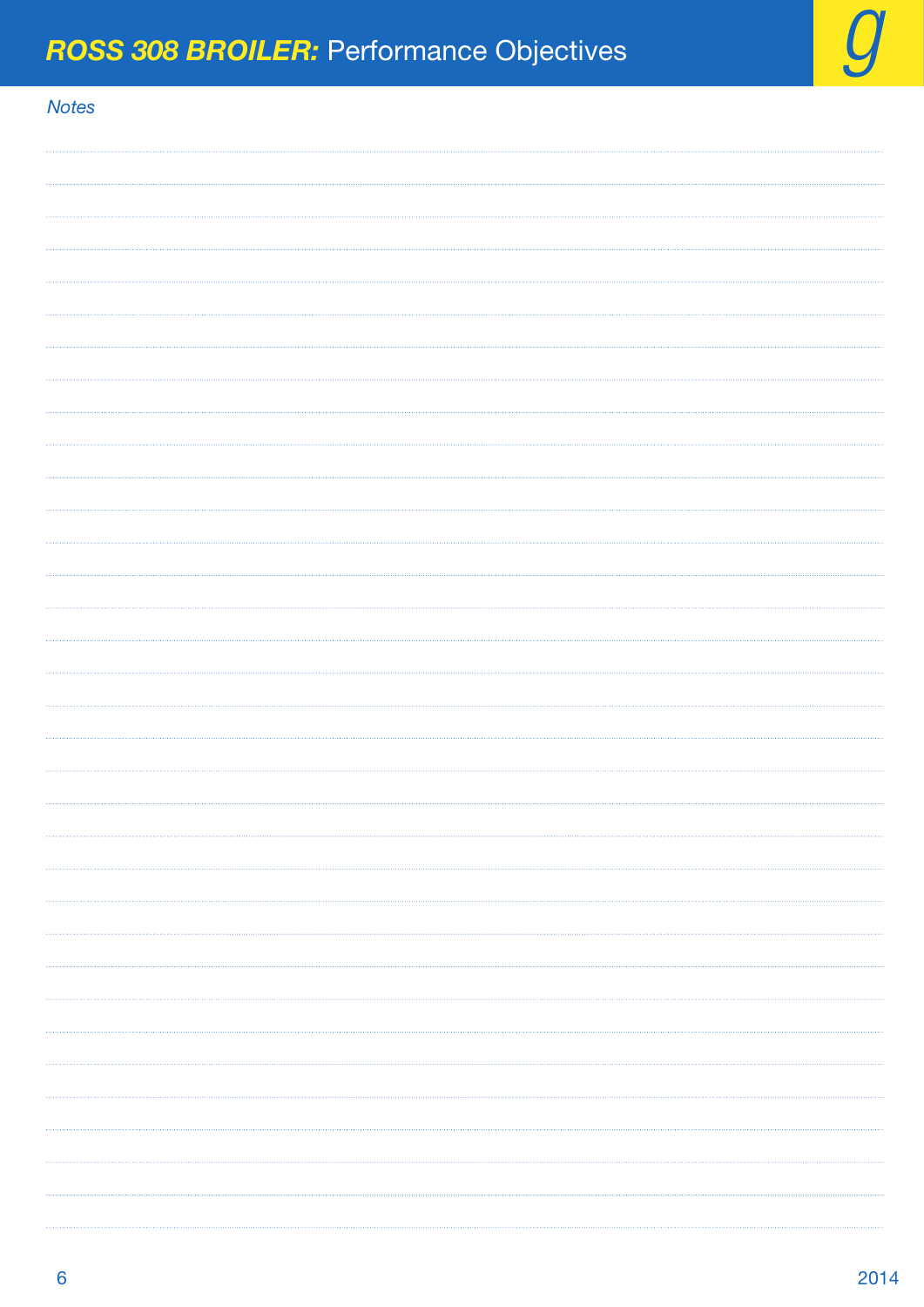### *Notes*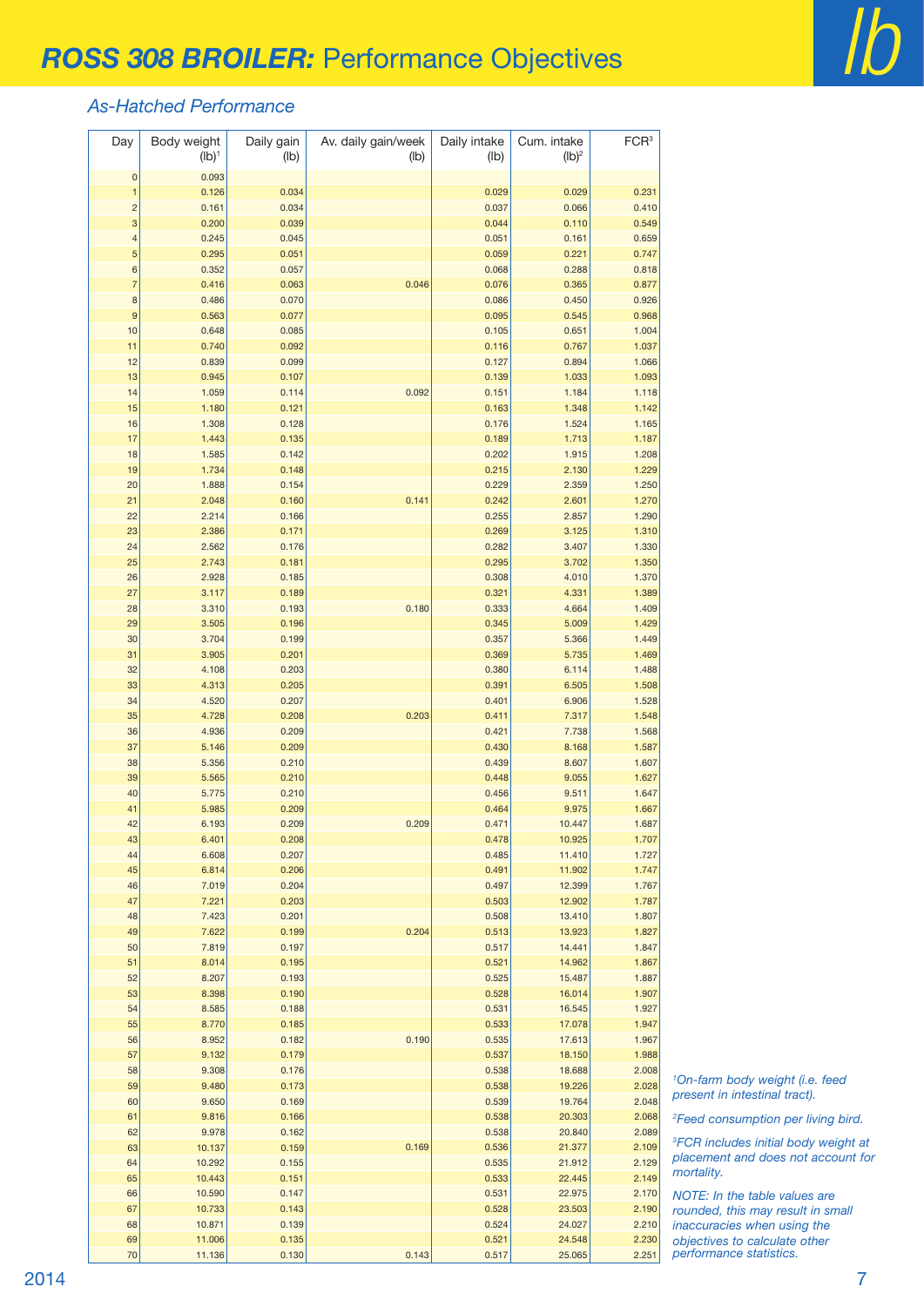### *As-Hatched Performance*

| Day                      | Body weight<br>$(Ib)^1$ | Daily gain<br>(lb) | Av. daily gain/week<br>(lb) | Daily intake<br>(lb) | Cum. intake<br>$(Ib)^2$ | FCR <sup>3</sup> |
|--------------------------|-------------------------|--------------------|-----------------------------|----------------------|-------------------------|------------------|
| $\mathbf{0}$             | 0.093                   |                    |                             |                      |                         |                  |
| $\mathbf{1}$             | 0.126                   | 0.034              |                             | 0.029                | 0.029                   | 0.231            |
| $\overline{c}$           | 0.161                   | 0.034              |                             | 0.037                | 0.066                   | 0.410            |
| 3                        | 0.200                   | 0.039              |                             | 0.044                | 0.110                   | 0.549            |
| $\overline{\mathcal{L}}$ | 0.245                   | 0.045              |                             | 0.051                | 0.161                   | 0.659            |
| 5                        | 0.295                   | 0.051              |                             | 0.059                | 0.221                   | 0.747            |
| 6<br>$\overline{7}$      | 0.352<br>0.416          | 0.057              | 0.046                       | 0.068<br>0.076       | 0.288                   | 0.818<br>0.877   |
| 8                        | 0.486                   | 0.063<br>0.070     |                             | 0.086                | 0.365<br>0.450          | 0.926            |
| 9                        | 0.563                   | 0.077              |                             | 0.095                | 0.545                   | 0.968            |
| 10                       | 0.648                   | 0.085              |                             | 0.105                | 0.651                   | 1.004            |
| 11                       | 0.740                   | 0.092              |                             | 0.116                | 0.767                   | 1.037            |
| 12                       | 0.839                   | 0.099              |                             | 0.127                | 0.894                   | 1.066            |
| 13                       | 0.945                   | 0.107              |                             | 0.139                | 1.033                   | 1.093            |
| 14                       | 1.059                   | 0.114              | 0.092                       | 0.151                | 1.184                   | 1.118            |
| 15                       | 1.180                   | 0.121              |                             | 0.163                | 1.348                   | 1.142            |
| 16                       | 1.308                   | 0.128              |                             | 0.176                | 1.524                   | 1.165            |
| 17                       | 1.443                   | 0.135              |                             | 0.189                | 1.713                   | 1.187            |
| 18                       | 1.585                   | 0.142              |                             | 0.202                | 1.915                   | 1.208            |
| 19                       | 1.734                   | 0.148              |                             | 0.215                | 2.130                   | 1.229            |
| 20                       | 1.888                   | 0.154              |                             | 0.229                | 2.359                   | 1.250            |
| 21                       | 2.048                   | 0.160              | 0.141                       | 0.242                | 2.601                   | 1.270            |
| 22<br>23                 | 2.214<br>2.386          | 0.166<br>0.171     |                             | 0.255<br>0.269       | 2.857<br>3.125          | 1.290<br>1.310   |
| 24                       | 2.562                   | 0.176              |                             | 0.282                | 3.407                   | 1.330            |
| 25                       | 2.743                   | 0.181              |                             | 0.295                | 3.702                   | 1.350            |
| 26                       | 2.928                   | 0.185              |                             | 0.308                | 4.010                   | 1.370            |
| 27                       | 3.117                   | 0.189              |                             | 0.321                | 4.331                   | 1.389            |
| 28                       | 3.310                   | 0.193              | 0.180                       | 0.333                | 4.664                   | 1.409            |
| 29                       | 3.505                   | 0.196              |                             | 0.345                | 5.009                   | 1.429            |
| 30                       | 3.704                   | 0.199              |                             | 0.357                | 5.366                   | 1.449            |
| 31                       | 3.905                   | 0.201              |                             | 0.369                | 5.735                   | 1.469            |
| 32                       | 4.108                   | 0.203              |                             | 0.380                | 6.114                   | 1.488            |
| 33                       | 4.313                   | 0.205              |                             | 0.391                | 6.505                   | 1.508            |
| 34                       | 4.520                   | 0.207              |                             | 0.401                | 6.906                   | 1.528            |
| 35                       | 4.728                   | 0.208              | 0.203                       | 0.411                | 7.317                   | 1.548            |
| 36<br>37                 | 4.936                   | 0.209<br>0.209     |                             | 0.421<br>0.430       | 7.738                   | 1.568            |
| 38                       | 5.146<br>5.356          | 0.210              |                             | 0.439                | 8.168<br>8.607          | 1.587<br>1.607   |
| 39                       | 5.565                   | 0.210              |                             | 0.448                | 9.055                   | 1.627            |
| 40                       | 5.775                   | 0.210              |                             | 0.456                | 9.511                   | 1.647            |
| 41                       | 5.985                   | 0.209              |                             | 0.464                | 9.975                   | 1.667            |
| 42                       | 6.193                   | 0.209              | 0.209                       | 0.471                | 10.447                  | 1.687            |
| 43                       | 6.401                   | 0.208              |                             | 0.478                | 10.925                  | 1.707            |
| 44                       | 6.608                   | 0.207              |                             | 0.485                | 11.410                  | 1.727            |
| 45                       | 6.814                   | 0.206              |                             | 0.491                | 11.902                  | 1.747            |
| 46                       | 7.019                   | 0.204              |                             | 0.497                | 12.399                  | 1.767            |
| 47                       | 7.221                   | 0.203              |                             | 0.503                | 12.902                  | 1.787            |
| 48                       | 7.423                   | 0.201              |                             | 0.508                | 13.410                  | 1.807            |
| 49                       | 7.622                   | 0.199              | 0.204                       | 0.513                | 13.923                  | 1.827            |
| 50<br>51                 | 7.819<br>8.014          | 0.197<br>0.195     |                             | 0.517<br>0.521       | 14.441<br>14.962        | 1.847<br>1.867   |
| 52                       | 8.207                   | 0.193              |                             | 0.525                | 15.487                  | 1.887            |
| 53                       | 8.398                   | 0.190              |                             | 0.528                | 16.014                  | 1.907            |
| 54                       | 8.585                   | 0.188              |                             | 0.531                | 16.545                  | 1.927            |
| 55                       | 8.770                   | 0.185              |                             | 0.533                | 17.078                  | 1.947            |
| 56                       | 8.952                   | 0.182              | 0.190                       | 0.535                | 17.613                  | 1.967            |
| 57                       | 9.132                   | 0.179              |                             | 0.537                | 18.150                  | 1.988            |
| 58                       | 9.308                   | 0.176              |                             | 0.538                | 18.688                  | 2.008            |
| 59                       | 9.480                   | 0.173              |                             | 0.538                | 19.226                  | 2.028            |
| 60                       | 9.650                   | 0.169              |                             | 0.539                | 19.764                  | 2.048            |
| 61                       | 9.816                   | 0.166              |                             | 0.538                | 20.303                  | 2.068            |
| 62                       | 9.978                   | 0.162              |                             | 0.538                | 20.840                  | 2.089            |
| 63                       | 10.137                  | 0.159              | 0.169                       | 0.536                | 21.377                  | 2.109            |
| 64                       | 10.292                  | 0.155              |                             | 0.535                | 21.912                  | 2.129            |
| 65                       | 10.443                  | 0.151              |                             | 0.533                | 22.445                  | 2.149            |
| 66<br>67                 | 10.590                  | 0.147<br>0.143     |                             | 0.531<br>0.528       | 22.975                  | 2.170<br>2.190   |
| 68                       | 10.733<br>10.871        | 0.139              |                             | 0.524                | 23.503<br>24.027        | 2.210            |
| 69                       | 11.006                  | 0.135              |                             | 0.521                | 24.548                  | 2.230            |
| 70                       | 11.136                  | 0.130              | 0.143                       | 0.517                | 25.065                  | 2.251            |

 *On-farm body weight (i.e. feed present in intestinal tract).*

*Feed consumption per living bird.*

 *FCR includes initial body weight at placement and does not account for mortality.*

*NOTE: In the table values are rounded, this may result in small inaccuracies when using the objectives to calculate other performance statistics.*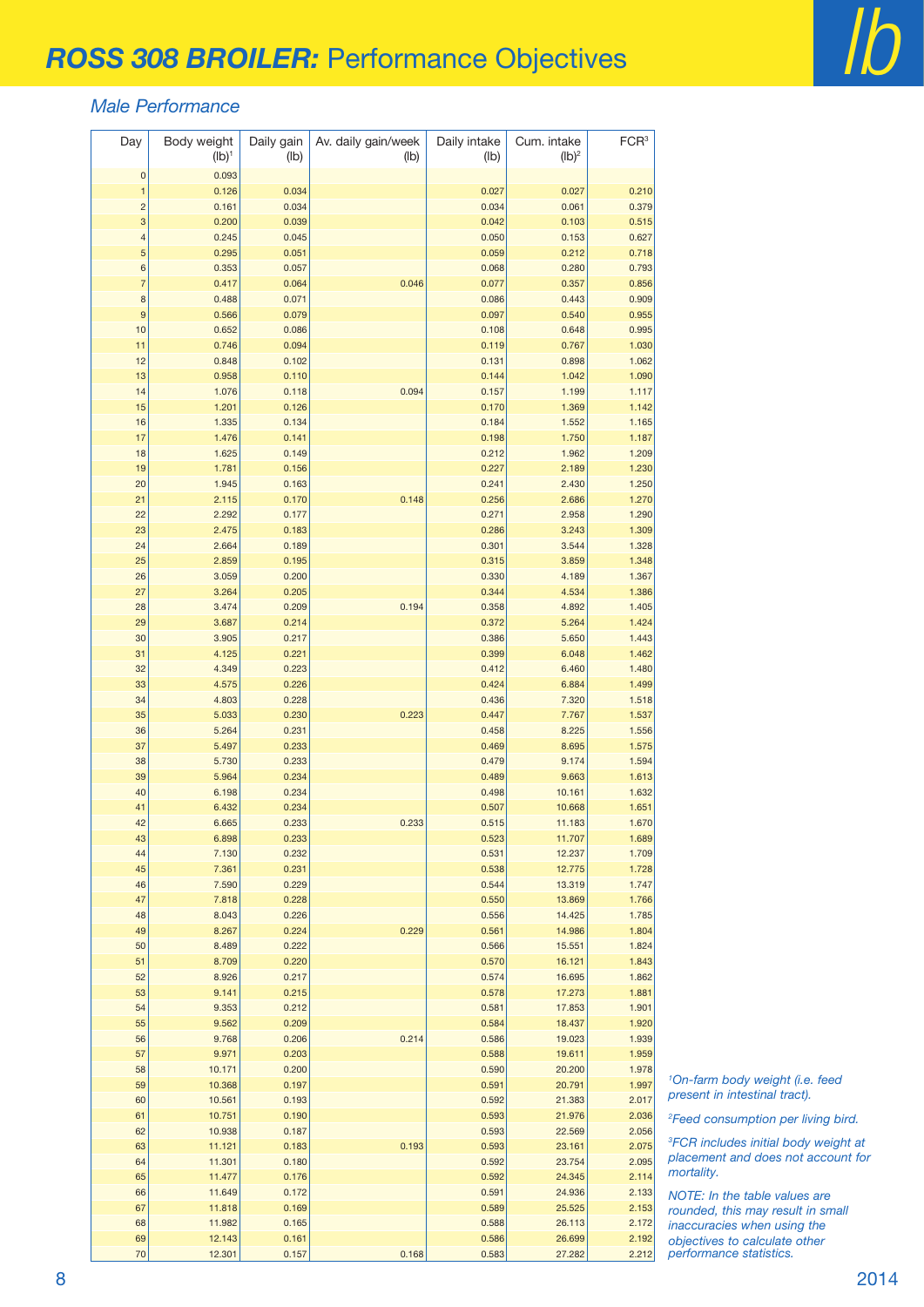#### *Male Performance*

| Day                 | Body weight<br>$(Ib)^1$ | Daily gain<br>(lb) | Av. daily gain/week<br>(lb) | Daily intake<br>(lb) | Cum. intake<br>$(Ib)^2$ | FCR <sup>3</sup> |
|---------------------|-------------------------|--------------------|-----------------------------|----------------------|-------------------------|------------------|
| $\bf{0}$            | 0.093                   |                    |                             |                      |                         |                  |
| $\mathbf{1}$        | 0.126                   | 0.034              |                             | 0.027                | 0.027                   | 0.210            |
| $\overline{c}$      | 0.161                   | 0.034              |                             | 0.034                | 0.061                   | 0.379            |
| 3                   | 0.200                   | 0.039              |                             | 0.042                | 0.103                   | 0.515            |
| 4                   | 0.245                   | 0.045              |                             | 0.050                | 0.153                   | 0.627            |
| 5                   | 0.295                   | 0.051              |                             | 0.059                | 0.212                   | 0.718            |
| 6                   | 0.353                   | 0.057              |                             | 0.068                | 0.280                   | 0.793            |
| $\overline{7}$<br>8 | 0.417                   | 0.064              | 0.046                       | 0.077<br>0.086       | 0.357<br>0.443          | 0.856<br>0.909   |
| $\boldsymbol{9}$    | 0.488<br>0.566          | 0.071<br>0.079     |                             | 0.097                | 0.540                   | 0.955            |
| 10                  | 0.652                   | 0.086              |                             | 0.108                | 0.648                   | 0.995            |
| 11                  | 0.746                   | 0.094              |                             | 0.119                | 0.767                   | 1.030            |
| 12                  | 0.848                   | 0.102              |                             | 0.131                | 0.898                   | 1.062            |
| 13                  | 0.958                   | 0.110              |                             | 0.144                | 1.042                   | 1.090            |
| 14                  | 1.076                   | 0.118              | 0.094                       | 0.157                | 1.199                   | 1.117            |
| 15                  | 1.201                   | 0.126              |                             | 0.170                | 1.369                   | 1.142            |
| 16                  | 1.335                   | 0.134              |                             | 0.184                | 1.552                   | 1.165            |
| 17                  | 1.476                   | 0.141              |                             | 0.198                | 1.750                   | 1.187            |
| 18                  | 1.625                   | 0.149              |                             | 0.212                | 1.962                   | 1.209            |
| 19                  | 1.781                   | 0.156              |                             | 0.227                | 2.189                   | 1.230            |
| 20                  | 1.945                   | 0.163              |                             | 0.241                | 2.430                   | 1.250            |
| 21                  | 2.115                   | 0.170              | 0.148                       | 0.256                | 2.686                   | 1.270            |
| 22<br>23            | 2.292<br>2.475          | 0.177<br>0.183     |                             | 0.271<br>0.286       | 2.958<br>3.243          | 1.290<br>1.309   |
| 24                  | 2.664                   | 0.189              |                             | 0.301                | 3.544                   | 1.328            |
| 25                  | 2.859                   | 0.195              |                             | 0.315                | 3.859                   | 1.348            |
| 26                  | 3.059                   | 0.200              |                             | 0.330                | 4.189                   | 1.367            |
| 27                  | 3.264                   | 0.205              |                             | 0.344                | 4.534                   | 1.386            |
| 28                  | 3.474                   | 0.209              | 0.194                       | 0.358                | 4.892                   | 1.405            |
| 29                  | 3.687                   | 0.214              |                             | 0.372                | 5.264                   | 1.424            |
| 30                  | 3.905                   | 0.217              |                             | 0.386                | 5.650                   | 1.443            |
| 31                  | 4.125                   | 0.221              |                             | 0.399                | 6.048                   | 1.462            |
| 32                  | 4.349                   | 0.223              |                             | 0.412                | 6.460                   | 1.480            |
| 33                  | 4.575                   | 0.226              |                             | 0.424                | 6.884                   | 1.499            |
| 34                  | 4.803                   | 0.228              |                             | 0.436                | 7.320                   | 1.518            |
| 35<br>36            | 5.033<br>5.264          | 0.230<br>0.231     | 0.223                       | 0.447<br>0.458       | 7.767<br>8.225          | 1.537<br>1.556   |
| 37                  | 5.497                   | 0.233              |                             | 0.469                | 8.695                   | 1.575            |
| 38                  | 5.730                   | 0.233              |                             | 0.479                | 9.174                   | 1.594            |
| 39                  | 5.964                   | 0.234              |                             | 0.489                | 9.663                   | 1.613            |
| 40                  | 6.198                   | 0.234              |                             | 0.498                | 10.161                  | 1.632            |
| 41                  | 6.432                   | 0.234              |                             | 0.507                | 10.668                  | 1.651            |
| 42                  | 6.665                   | 0.233              | 0.233                       | 0.515                | 11.183                  | 1.670            |
| 43                  | 6.898                   | 0.233              |                             | 0.523                | 11.707                  | 1.689            |
| 44                  | 7.130                   | 0.232              |                             | 0.531                | 12.237                  | 1.709            |
| 45                  | 7.361                   | 0.231              |                             | 0.538                | 12.775                  | 1.728            |
| 46                  | 7.590                   | 0.229              |                             | 0.544                | 13.319                  | 1.747            |
| 47<br>48            | 7.818<br>8.043          | 0.228<br>0.226     |                             | 0.550<br>0.556       | 13.869<br>14.425        | 1.766<br>1.785   |
| 49                  | 8.267                   | 0.224              | 0.229                       | 0.561                | 14.986                  | 1.804            |
| 50                  | 8.489                   | 0.222              |                             | 0.566                | 15.551                  | 1.824            |
| 51                  | 8.709                   | 0.220              |                             | 0.570                | 16.121                  | 1.843            |
| 52                  | 8.926                   | 0.217              |                             | 0.574                | 16.695                  | 1.862            |
| 53                  | 9.141                   | 0.215              |                             | 0.578                | 17.273                  | 1.881            |
| 54                  | 9.353                   | 0.212              |                             | 0.581                | 17.853                  | 1.901            |
| 55                  | 9.562                   | 0.209              |                             | 0.584                | 18.437                  | 1.920            |
| 56                  | 9.768                   | 0.206              | 0.214                       | 0.586                | 19.023                  | 1.939            |
| 57                  | 9.971                   | 0.203              |                             | 0.588                | 19.611                  | 1.959            |
| 58<br>59            | 10.171                  | 0.200<br>0.197     |                             | 0.590<br>0.591       | 20.200<br>20.791        | 1.978<br>1.997   |
| 60                  | 10.368<br>10.561        | 0.193              |                             | 0.592                | 21.383                  | 2.017            |
| 61                  | 10.751                  | 0.190              |                             | 0.593                | 21.976                  | 2.036            |
| 62                  | 10.938                  | 0.187              |                             | 0.593                | 22.569                  | 2.056            |
| 63                  | 11.121                  | 0.183              | 0.193                       | 0.593                | 23.161                  | 2.075            |
| 64                  | 11.301                  | 0.180              |                             | 0.592                | 23.754                  | 2.095            |
| 65                  | 11.477                  | 0.176              |                             | 0.592                | 24.345                  | 2.114            |
| 66                  | 11.649                  | 0.172              |                             | 0.591                | 24.936                  | 2.133            |
| 67                  | 11.818                  | 0.169              |                             | 0.589                | 25.525                  | 2.153            |
| 68                  | 11.982                  | 0.165              |                             | 0.588                | 26.113                  | 2.172            |
| 69<br>70            | 12.143<br>12.301        | 0.161<br>0.157     | 0.168                       | 0.586<br>0.583       | 26.699<br>27.282        | 2.192<br>2.212   |
|                     |                         |                    |                             |                      |                         |                  |

 *On-farm body weight (i.e. feed present in intestinal tract).*

*Feed consumption per living bird.*

 *FCR includes initial body weight at placement and does not account for mortality.*

*NOTE: In the table values are rounded, this may result in small inaccuracies when using the objectives to calculate other performance statistics.*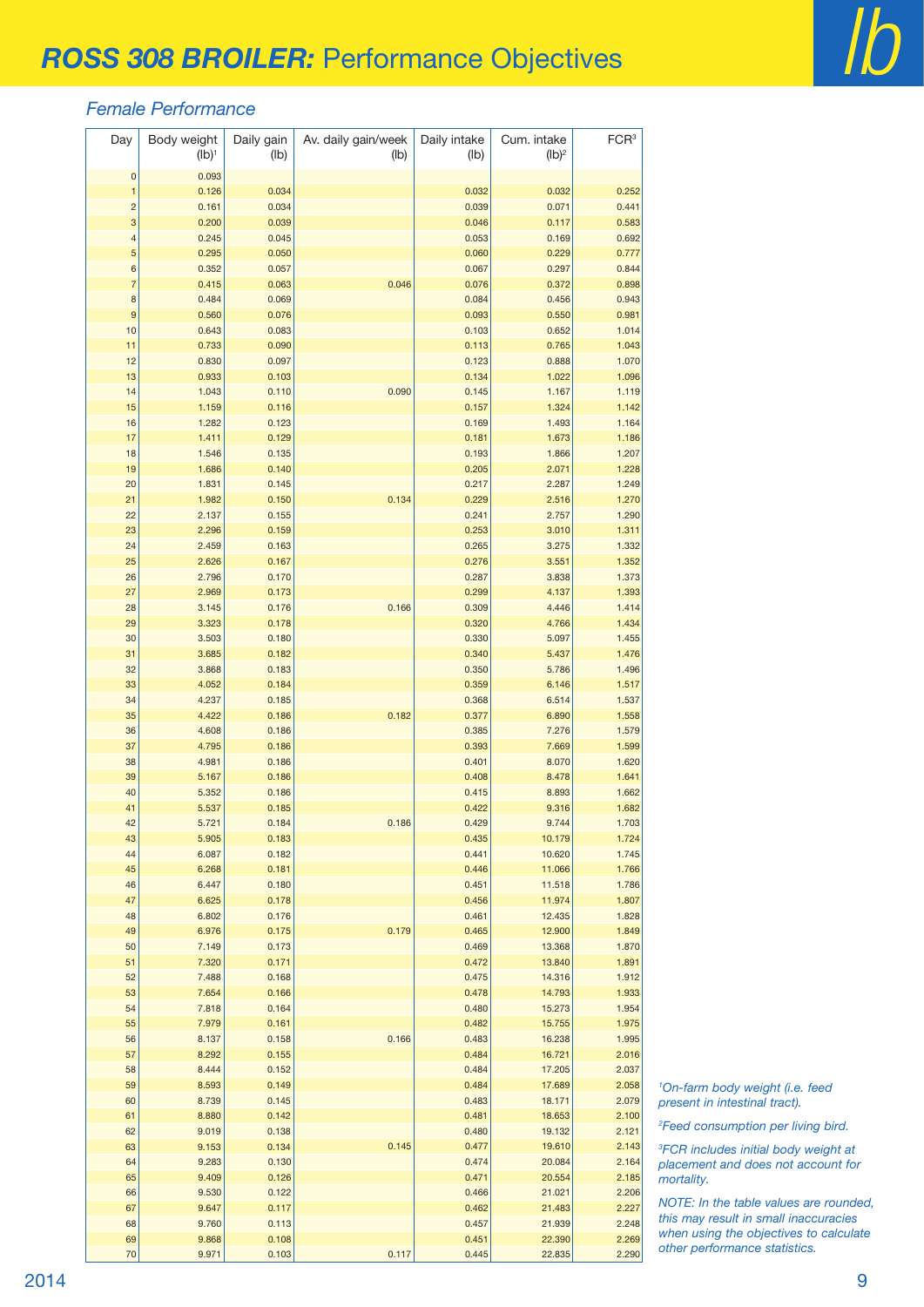#### *Female Performance*

| Day                      | Body weight<br>$(Ib)^1$ | Daily gain<br>(lb) | Av. daily gain/week<br>(Ib) | Daily intake<br>(lb) | Cum. intake<br>$(lb)^2$ | FCR <sup>3</sup> |
|--------------------------|-------------------------|--------------------|-----------------------------|----------------------|-------------------------|------------------|
| $\mathbf{0}$             | 0.093                   |                    |                             |                      |                         |                  |
| $\mathbf{1}$             | 0.126                   | 0.034              |                             | 0.032                | 0.032                   | 0.252            |
| $\overline{\mathbf{c}}$  | 0.161                   | 0.034              |                             | 0.039                | 0.071                   | 0.441            |
| 3                        | 0.200                   | 0.039              |                             | 0.046                | 0.117                   | 0.583            |
| $\overline{\mathcal{L}}$ | 0.245                   | 0.045              |                             | 0.053                | 0.169                   | 0.692            |
| 5                        | 0.295                   | 0.050              |                             | 0.060                | 0.229                   | 0.777            |
| 6                        | 0.352                   | 0.057              |                             | 0.067                | 0.297                   | 0.844            |
| $\overline{7}$           | 0.415                   | 0.063              | 0.046                       | 0.076                | 0.372                   | 0.898            |
| 8                        | 0.484                   | 0.069              |                             | 0.084                | 0.456                   | 0.943            |
| 9                        | 0.560                   | 0.076              |                             | 0.093                | 0.550                   | 0.981            |
| 10                       | 0.643                   | 0.083              |                             | 0.103                | 0.652                   | 1.014            |
| 11                       | 0.733                   | 0.090              |                             | 0.113                | 0.765                   | 1.043            |
| 12                       | 0.830                   | 0.097              |                             | 0.123                | 0.888                   | 1.070            |
| 13                       | 0.933                   | 0.103              |                             | 0.134                | 1.022                   | 1.096            |
| 14                       | 1.043                   | 0.110              | 0.090                       | 0.145                | 1.167                   | 1.119            |
| 15                       | 1.159                   | 0.116              |                             | 0.157                | 1.324                   | 1.142            |
| 16                       | 1.282                   | 0.123              |                             | 0.169                | 1.493                   | 1.164            |
| 17                       | 1.411                   | 0.129              |                             | 0.181                | 1.673                   | 1.186            |
| 18                       | 1.546                   | 0.135              |                             | 0.193                | 1.866                   | 1.207            |
| 19<br>20                 | 1.686<br>1.831          | 0.140<br>0.145     |                             | 0.205<br>0.217       | 2.071<br>2.287          | 1.228<br>1.249   |
| 21                       | 1.982                   | 0.150              | 0.134                       | 0.229                | 2.516                   | 1.270            |
| 22                       | 2.137                   | 0.155              |                             | 0.241                | 2.757                   | 1.290            |
| 23                       | 2.296                   | 0.159              |                             | 0.253                | 3.010                   | 1.311            |
| 24                       | 2.459                   | 0.163              |                             | 0.265                | 3.275                   | 1.332            |
| 25                       | 2.626                   | 0.167              |                             | 0.276                | 3.551                   | 1.352            |
| 26                       | 2.796                   | 0.170              |                             | 0.287                | 3.838                   | 1.373            |
| 27                       | 2.969                   | 0.173              |                             | 0.299                | 4.137                   | 1.393            |
| 28                       | 3.145                   | 0.176              | 0.166                       | 0.309                | 4.446                   | 1.414            |
| 29                       | 3.323                   | 0.178              |                             | 0.320                | 4.766                   | 1.434            |
| 30                       | 3.503                   | 0.180              |                             | 0.330                | 5.097                   | 1.455            |
| 31                       | 3.685                   | 0.182              |                             | 0.340                | 5.437                   | 1.476            |
| 32                       | 3.868                   | 0.183              |                             | 0.350                | 5.786                   | 1.496            |
| 33                       | 4.052                   | 0.184              |                             | 0.359                | 6.146                   | 1.517            |
| 34                       | 4.237                   | 0.185              |                             | 0.368                | 6.514                   | 1.537            |
| 35                       | 4.422                   | 0.186              | 0.182                       | 0.377                | 6.890                   | 1.558            |
| 36                       | 4.608                   | 0.186              |                             | 0.385                | 7.276                   | 1.579            |
| 37                       | 4.795                   | 0.186              |                             | 0.393                | 7.669                   | 1.599            |
| 38                       | 4.981                   | 0.186              |                             | 0.401                | 8.070                   | 1.620            |
| 39                       | 5.167                   | 0.186              |                             | 0.408                | 8.478                   | 1.641            |
| 40                       | 5.352                   | 0.186              |                             | 0.415                | 8.893                   | 1.662            |
| 41                       | 5.537                   | 0.185              |                             | 0.422                | 9.316                   | 1.682            |
| 42                       | 5.721                   | 0.184              | 0.186                       | 0.429                | 9.744                   | 1.703            |
| 43                       | 5.905                   | 0.183              |                             | 0.435                | 10.179                  | 1.724            |
| 44                       | 6.087                   | 0.182              |                             | 0.441                | 10.620                  | 1.745            |
| 45                       | 6.268                   | 0.181              |                             | 0.446                | 11.066                  | 1.766            |
| 46                       | 6.447                   | 0.180              |                             | 0.451                | 11.518                  | 1.786            |
| 47                       | 6.625                   | 0.178              |                             | 0.456                | 11.974                  | 1.807            |
| 48                       | 6.802                   | 0.176              |                             | 0.461                | 12.435                  | 1.828            |
| 49                       | 6.976                   | 0.175              | 0.179                       | 0.465                | 12.900                  | 1.849            |
| 50                       | 7.149                   | 0.173              |                             | 0.469                | 13.368                  | 1.870            |
| 51                       | 7.320                   | 0.171<br>0.168     |                             | 0.472                | 13.840<br>14.316        | 1.891            |
| 52<br>53                 | 7.488<br>7.654          | 0.166              |                             | 0.475<br>0.478       | 14.793                  | 1.912<br>1.933   |
| 54                       | 7.818                   | 0.164              |                             | 0.480                | 15.273                  | 1.954            |
| 55                       | 7.979                   | 0.161              |                             | 0.482                | 15.755                  | 1.975            |
| 56                       | 8.137                   | 0.158              | 0.166                       | 0.483                | 16.238                  | 1.995            |
| 57                       | 8.292                   | 0.155              |                             | 0.484                | 16.721                  | 2.016            |
| 58                       | 8.444                   | 0.152              |                             | 0.484                | 17.205                  | 2.037            |
| 59                       | 8.593                   | 0.149              |                             | 0.484                | 17.689                  | 2.058            |
| 60                       | 8.739                   | 0.145              |                             | 0.483                | 18.171                  | 2.079            |
| 61                       | 8.880                   | 0.142              |                             | 0.481                | 18.653                  | 2.100            |
| 62                       | 9.019                   | 0.138              |                             | 0.480                | 19.132                  | 2.121            |
| 63                       | 9.153                   | 0.134              | 0.145                       | 0.477                | 19.610                  | 2.143            |
| 64                       | 9.283                   | 0.130              |                             | 0.474                | 20.084                  | 2.164            |
| 65                       | 9.409                   | 0.126              |                             | 0.471                | 20.554                  | 2.185            |
| 66                       | 9.530                   | 0.122              |                             | 0.466                | 21.021                  | 2.206            |
| 67                       | 9.647                   | 0.117              |                             | 0.462                | 21.483                  | 2.227            |
| 68                       | 9.760                   | 0.113              |                             | 0.457                | 21.939                  | 2.248            |
| 69                       | 9.868                   | 0.108              |                             | 0.451                | 22.390                  | 2.269            |
| 70                       | 9.971                   | 0.103              | 0.117                       | 0.445                | 22.835                  | 2.290            |

 *On-farm body weight (i.e. feed present in intestinal tract).*

*Feed consumption per living bird.*

 *FCR includes initial body weight at placement and does not account for mortality.*

*NOTE: In the table values are rounded, this may result in small inaccuracies when using the objectives to calculate other performance statistics.*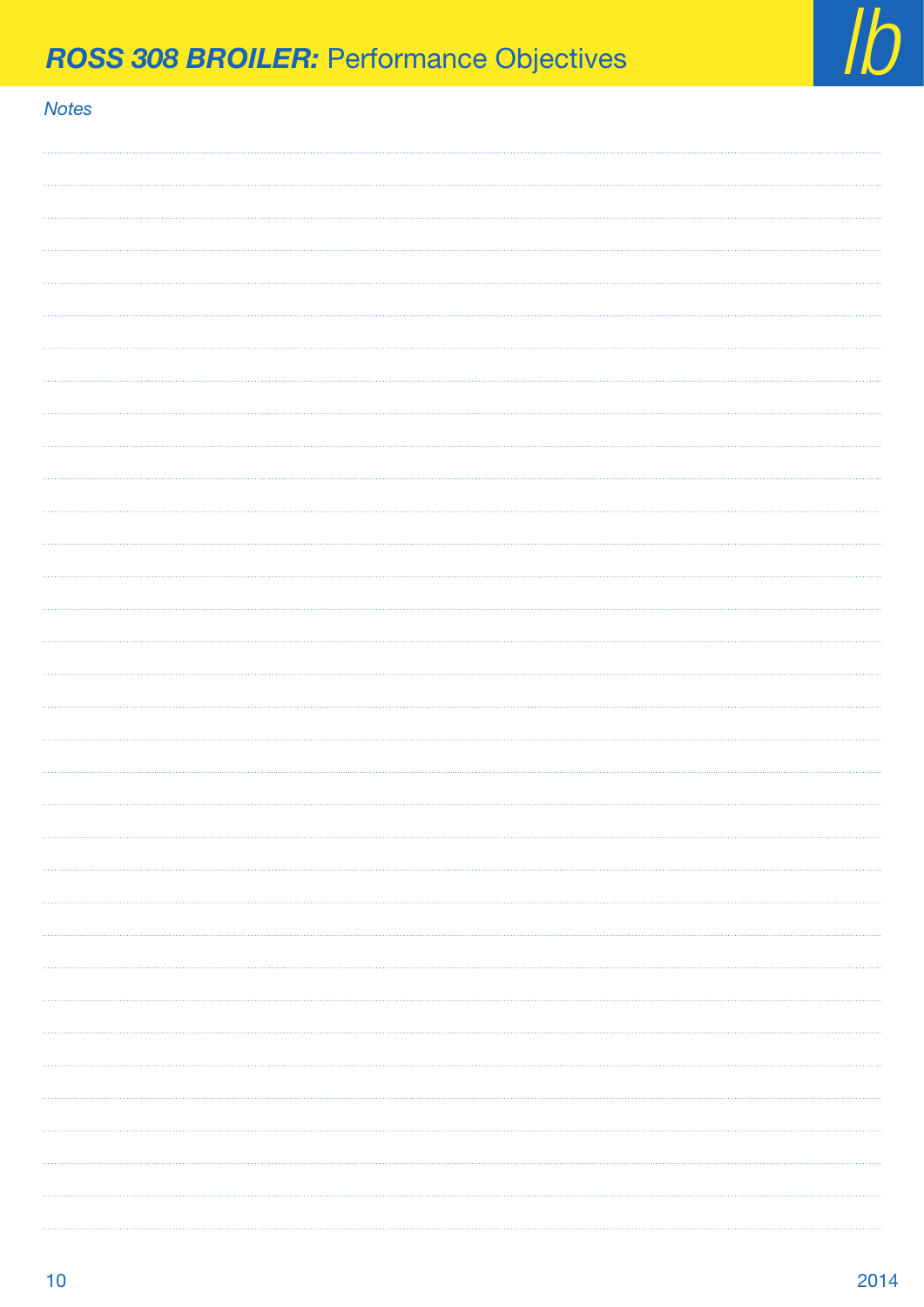

# **lb** *ROSS 308 BROILER:* Performance Objectives **labeles and** *lb*

| l |  |
|---|--|

| <u>NOLES</u> |  |
|--------------|--|
|              |  |
|              |  |
|              |  |
|              |  |
|              |  |
|              |  |
|              |  |
|              |  |
|              |  |
|              |  |
|              |  |
|              |  |
|              |  |
|              |  |
|              |  |
|              |  |
|              |  |
|              |  |
|              |  |
|              |  |
|              |  |
|              |  |
|              |  |
|              |  |
|              |  |
|              |  |
|              |  |
| .            |  |
|              |  |
|              |  |
|              |  |
|              |  |
|              |  |
| .            |  |
|              |  |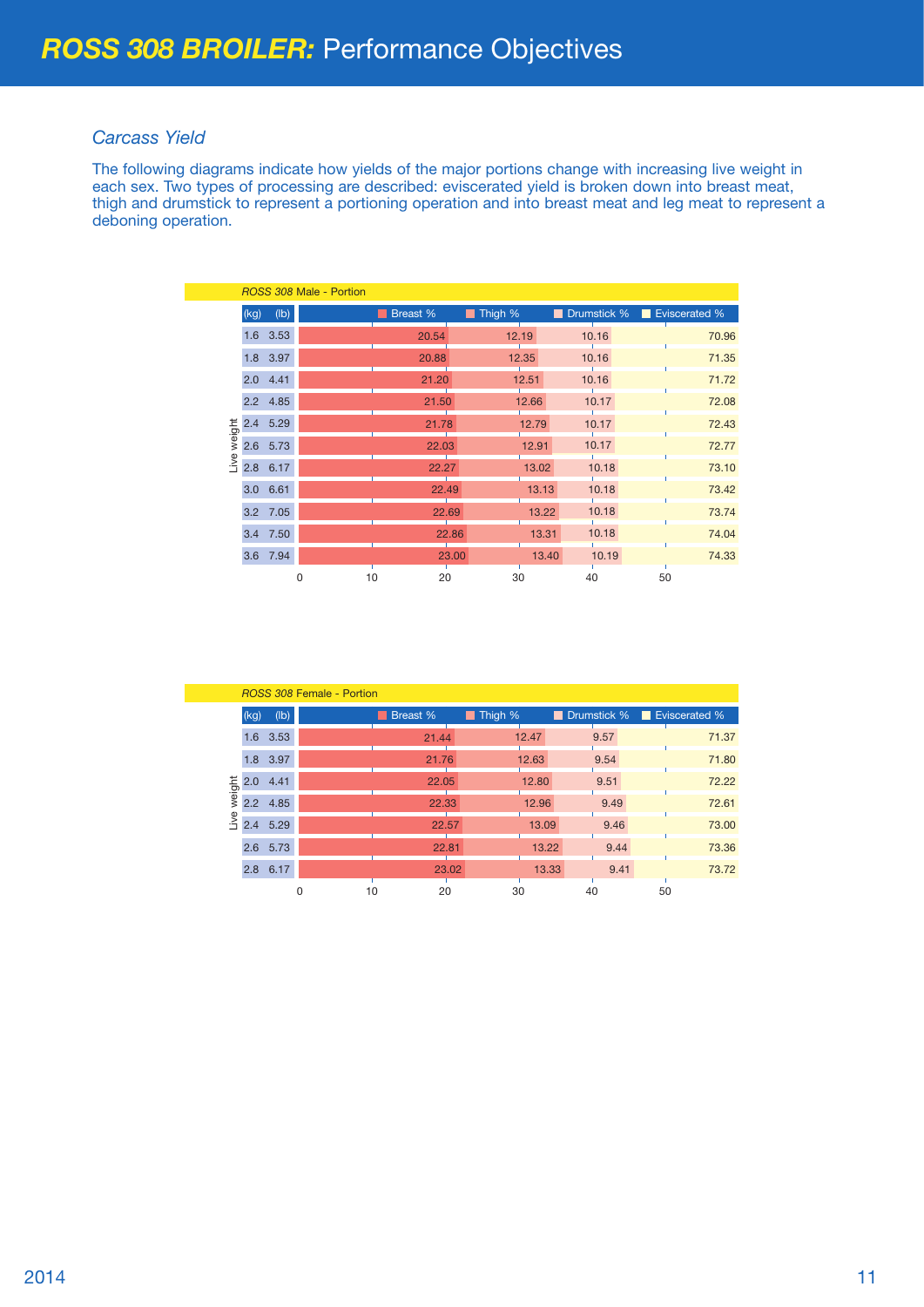### *Carcass Yield*

The following diagrams indicate how yields of the major portions change with increasing live weight in each sex. Two types of processing are described: eviscerated yield is broken down into breast meat, thigh and drumstick to represent a portioning operation and into breast meat and leg meat to represent a deboning operation.

|        |      |            | ROSS 308 Male - Portion |          |                        |       |                           |    |       |
|--------|------|------------|-------------------------|----------|------------------------|-------|---------------------------|----|-------|
|        | (kg) | (lb)       |                         | Breast % | $\blacksquare$ Thigh % |       | Drumstick % Eviscerated % |    |       |
|        |      | 1.6 3.53   |                         | 20.54    | 12.19                  |       | 10.16                     |    | 70.96 |
|        |      | 1.8 3.97   |                         | 20.88    |                        | 12.35 | 10.16                     |    | 71.35 |
|        |      | $2.0$ 4.41 |                         | 21.20    |                        | 12.51 | 10.16                     |    | 71.72 |
|        |      | 2.2 4.85   |                         | 21.50    |                        | 12.66 | 10.17                     |    | 72.08 |
| weight |      | 2.4 5.29   |                         | 21.78    |                        | 12.79 | 10.17                     |    | 72.43 |
|        |      | 2.6 5.73   |                         | 22.03    |                        | 12.91 | 10.17                     |    | 72.77 |
| ive    |      | 2.8 6.17   |                         | 22.27    |                        | 13.02 | 10.18                     |    | 73.10 |
|        |      | 3.0 6.61   |                         | 22.49    |                        | 13.13 | 10.18                     |    | 73.42 |
|        |      | 3.2 7.05   |                         | 22.69    |                        | 13.22 | 10.18                     |    | 73.74 |
|        |      | 3.4 7.50   |                         |          | 22.86                  | 13.31 | 10.18                     |    | 74.04 |
|        |      | 3.6 7.94   |                         |          | 23.00                  | 13.40 | 10.19                     |    | 74.33 |
|        |      |            | 10<br>0                 | 20       | 30                     |       | 40                        | 50 |       |

|        |            |      | <b>ROSS 308 Female - Portion</b> |          |         |               |                           |  |
|--------|------------|------|----------------------------------|----------|---------|---------------|---------------------------|--|
|        | (kg)       | (Ib) |                                  | Breast % | Thigh % |               | Drumstick % Eviscerated % |  |
|        | 1.6 3.53   |      |                                  | 21.44    | 12.47   | 9.57          | 71.37                     |  |
|        | 1.8 3.97   |      |                                  | 21.76    | 12.63   | 9.54          | 71.80                     |  |
|        | $2.0$ 4.41 |      |                                  | 22.05    | 12.80   | 9.51          | 72.22                     |  |
| weight | 2.2 4.85   |      |                                  | 22.33    | 12.96   | 9.49          | 72.61                     |  |
| jve    | 2.4        | 5.29 |                                  | 22.57    | 13.09   | 9.46          | 73.00                     |  |
|        | 2.6 5.73   |      |                                  | 22.81    |         | 13.22<br>9.44 | 73.36                     |  |
|        | 2.8 6.17   |      |                                  | 23.02    |         | 9.41<br>13.33 | 73.72                     |  |
|        |            |      | 10                               | 20       | 30      | 40            | 50                        |  |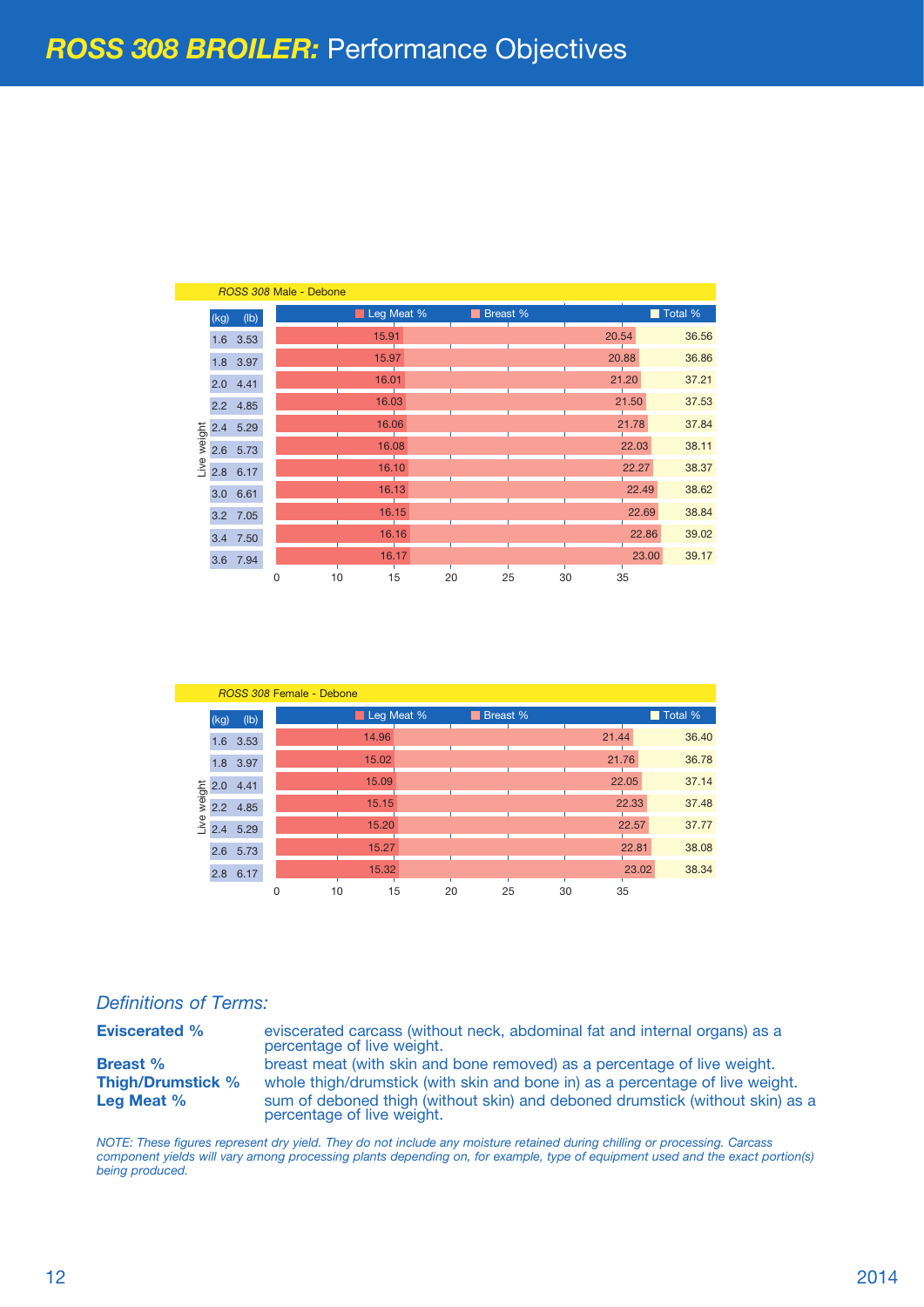|                |      |            |   | ROSS 308 Male - Debone |            |    |          |       |       |         |
|----------------|------|------------|---|------------------------|------------|----|----------|-------|-------|---------|
| weight<br>Live | (kg) | (Ib)       |   |                        | Leg Meat % |    | Breast % |       |       | Total % |
|                |      | 1.6 3.53   |   |                        | 15.91      |    |          | 20.54 |       | 36.56   |
|                |      | 1.8 3.97   |   |                        | 15.97      |    |          |       | 20.88 | 36.86   |
|                |      | $2.0$ 4.41 |   |                        | 16.01      |    |          |       | 21.20 | 37.21   |
|                | 2.2  | 4.85       |   |                        | 16.03      |    |          |       | 21.50 | 37.53   |
|                | 2.4  | 5.29       |   |                        | 16.06      |    |          |       | 21.78 | 37.84   |
|                | 2.6  | 5.73       |   |                        | 16.08      |    |          |       | 22.03 | 38.11   |
|                | 2.8  | 6.17       |   |                        | 16.10      |    |          |       | 22.27 | 38.37   |
|                | 3.0  | 6.61       |   |                        | 16.13      |    |          |       | 22.49 | 38.62   |
|                |      | 3.2 7.05   |   |                        | 16.15      |    |          |       | 22.69 | 38.84   |
|                |      | 3.4 7.50   |   |                        | 16.16      |    |          |       | 22.86 | 39.02   |
|                | 3.6  | 7.94       |   |                        | 16.17      |    |          |       | 23.00 | 39.17   |
|                |      |            | 0 | 10                     | 15         | 20 | 25       | 30    | 35    |         |

| ROSS 308 Female - Debone |      |          |   |    |            |  |    |          |       |       |         |
|--------------------------|------|----------|---|----|------------|--|----|----------|-------|-------|---------|
|                          | (kg) | (Ib)     |   |    | Leg Meat % |  |    | Breast % |       |       | Total % |
|                          | 1.6  | 3.53     |   |    | 14.96      |  |    |          | 21.44 |       | 36.40   |
|                          |      | 1.8 3.97 |   |    | 15.02      |  |    |          |       | 21.76 | 36.78   |
|                          | 2.0  | 4.41     |   |    | 15.09      |  |    |          |       | 22.05 | 37.14   |
| weight                   | 2.2  | 4.85     |   |    | 15.15      |  |    |          |       | 22.33 | 37.48   |
| Live                     | 2.4  | 5.29     |   |    | 15.20      |  |    |          |       | 22.57 | 37.77   |
|                          | 2.6  | 5.73     |   |    | 15.27      |  |    |          |       | 22.81 | 38.08   |
|                          | 2.8  | 6.17     |   |    | 15.32      |  |    |          |       | 23.02 | 38.34   |
|                          |      |          | 0 | 10 | 15         |  | 20 | 25       | 30    | 35    |         |

#### *Definitions of Terms:*

**Eviscerated %** eviscerated carcass (without neck, abdominal fat and internal organs) as a percentage of live weight.

**Breast %** breast meat (with skin and bone removed) as a percentage of live weight.<br> **Thigh/Drumstick %** whole thigh/drumstick (with skin and bone in) as a percentage of live weight. whole thigh/drumstick (with skin and bone in) as a percentage of live weight. **Leg Meat %** sum of deboned thigh (without skin) and deboned drumstick (without skin) as a percentage of live weight.

*NOTE: These figures represent dry yield. They do not include any moisture retained during chilling or processing. Carcass component yields will vary among processing plants depending on, for example, type of equipment used and the exact portion(s) being produced.*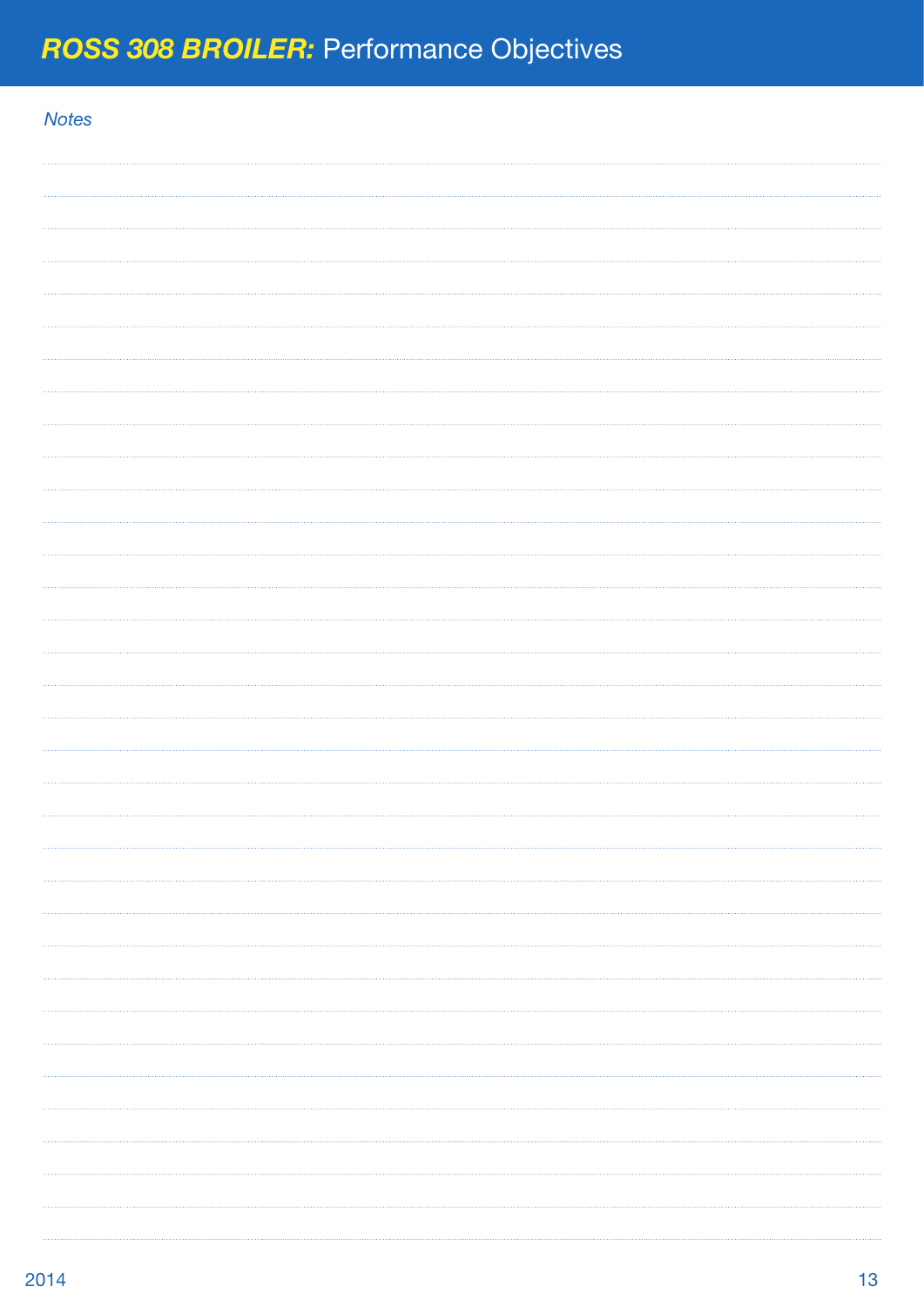| <b>Notes</b> |  |
|--------------|--|
|              |  |
|              |  |
|              |  |
|              |  |
|              |  |
|              |  |
|              |  |
|              |  |
|              |  |
|              |  |
|              |  |
|              |  |
|              |  |
|              |  |
|              |  |
|              |  |
|              |  |
|              |  |
|              |  |
|              |  |
|              |  |
|              |  |
|              |  |
|              |  |
|              |  |
|              |  |
|              |  |
|              |  |
|              |  |
|              |  |
|              |  |
|              |  |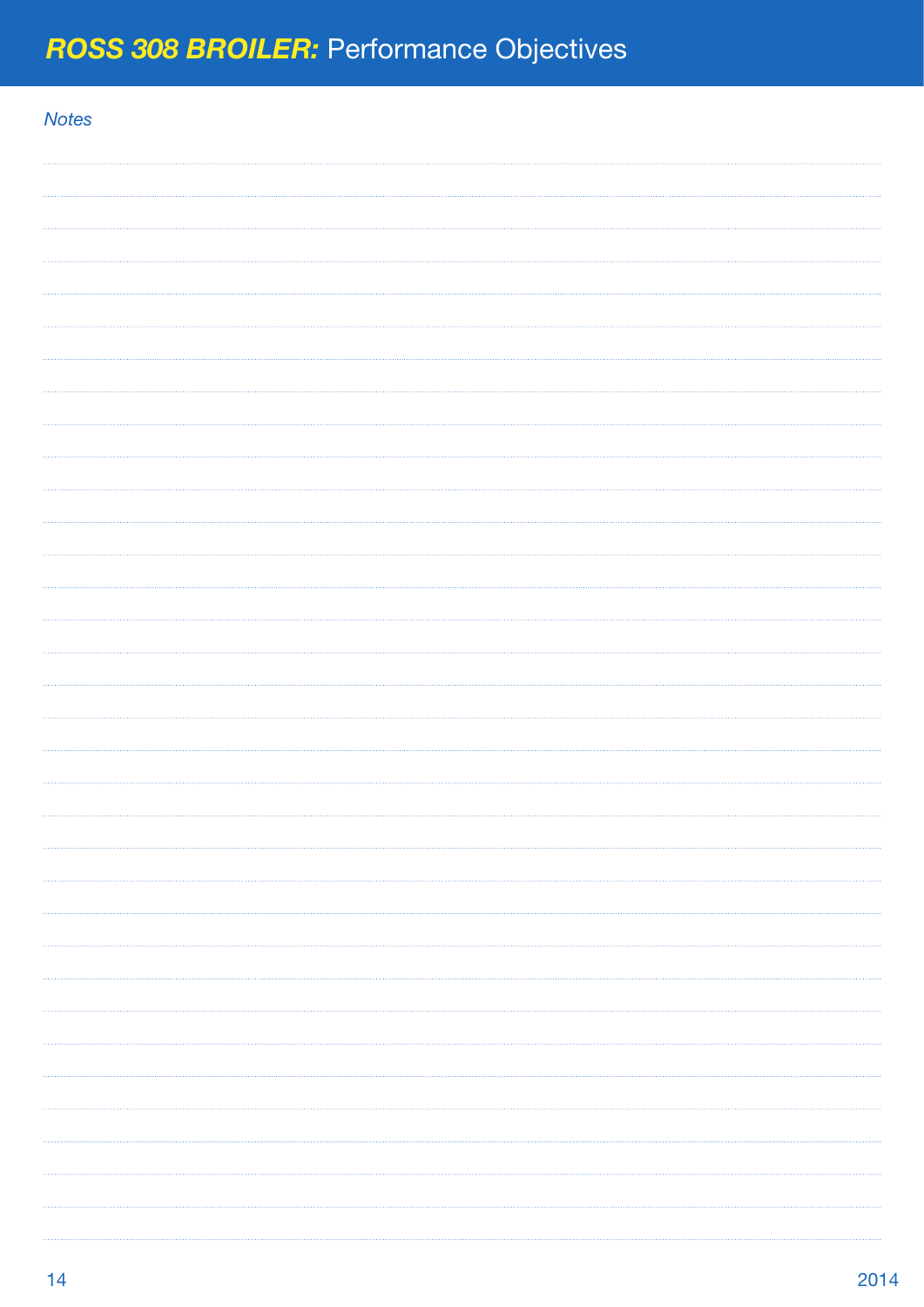| <b>Notes</b> |  |
|--------------|--|
|              |  |
|              |  |
|              |  |
|              |  |
|              |  |
|              |  |
|              |  |
|              |  |
|              |  |
|              |  |
|              |  |
|              |  |
|              |  |
|              |  |
|              |  |
|              |  |
|              |  |
|              |  |
|              |  |
|              |  |
|              |  |
|              |  |
|              |  |
|              |  |
|              |  |
|              |  |
|              |  |
|              |  |
|              |  |
|              |  |